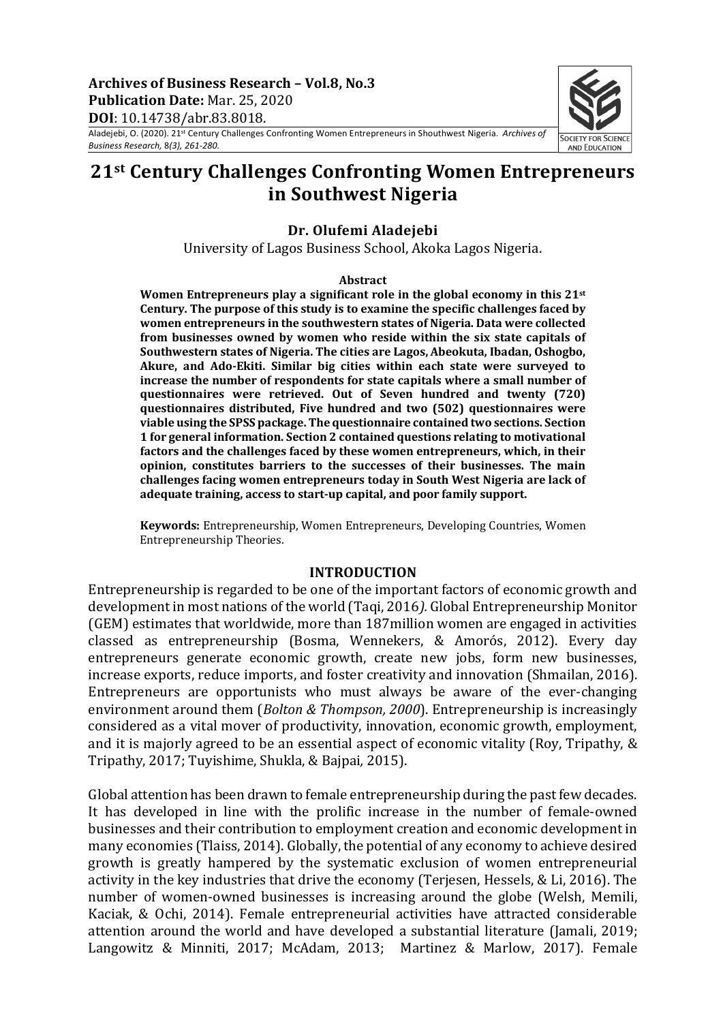Archives of Business Research - Vol.8, No.3 **Publication Date:** Mar. 25, 2020 **DOI**: 10.14738/abr.83.8018.

Aladejebi, O. (2020). 21st Century Challenges Confronting Women Entrepreneurs in Shouthwest Nigeria. *Archives of Business Research,* 8*(3), 261-280.*



#### **Dr. Olufemi Aladejebi**

University of Lagos Business School, Akoka Lagos Nigeria.

#### **Abstract**

**Women Entrepreneurs play a significant role in the global economy in this 21st Century. The purpose of this study is to examine the specific challenges faced by women entrepreneurs in the southwestern states of Nigeria. Data were collected from businesses owned by women who reside within the six state capitals of Southwestern states of Nigeria. The cities are Lagos, Abeokuta, Ibadan, Oshogbo, Akure, and Ado-Ekiti. Similar big cities within each state were surveyed to increase the number of respondents for state capitals where a small number of questionnaires were retrieved. Out of Seven hundred and twenty (720) questionnaires distributed, Five hundred and two (502) questionnaires were viable using the SPSS package. The questionnaire contained two sections. Section 1 for general information. Section 2 contained questions relating to motivational factors and the challenges faced by these women entrepreneurs, which, in their opinion, constitutes barriers to the successes of their businesses. The main challenges facing women entrepreneurs today in South West Nigeria are lack of adequate training, access to start-up capital, and poor family support.**

**Keywords:** Entrepreneurship, Women Entrepreneurs, Developing Countries, Women Entrepreneurship Theories.

#### **INTRODUCTION**

Entrepreneurship is regarded to be one of the important factors of economic growth and development in most nations of the world (Taqi, 2016). Global Entrepreneurship Monitor (GEM) estimates that worldwide, more than 187million women are engaged in activities classed as entrepreneurship (Bosma, Wennekers, & Amorós, 2012). Every day entrepreneurs generate economic growth, create new jobs, form new businesses, increase exports, reduce imports, and foster creativity and innovation (Shmailan, 2016). Entrepreneurs are opportunists who must always be aware of the ever-changing environment around them (*Bolton & Thompson, 2000*). Entrepreneurship is increasingly considered as a vital mover of productivity, innovation, economic growth, employment, and it is majorly agreed to be an essential aspect of economic vitality (Roy, Tripathy,  $&$ Tripathy, 2017; Tuyishime, Shukla, & Bajpai*,* 2015). 

Global attention has been drawn to female entrepreneurship during the past few decades. It has developed in line with the prolific increase in the number of female-owned businesses and their contribution to employment creation and economic development in many economies (Tlaiss, 2014). Globally, the potential of any economy to achieve desired growth is greatly hampered by the systematic exclusion of women entrepreneurial activity in the key industries that drive the economy (Terjesen, Hessels, & Li, 2016). The number of women-owned businesses is increasing around the globe (Welsh, Memili, Kaciak, & Ochi, 2014). Female entrepreneurial activities have attracted considerable attention around the world and have developed a substantial literature (Jamali, 2019; Langowitz & Minniti, 2017; McAdam, 2013; Martinez & Marlow, 2017). Female

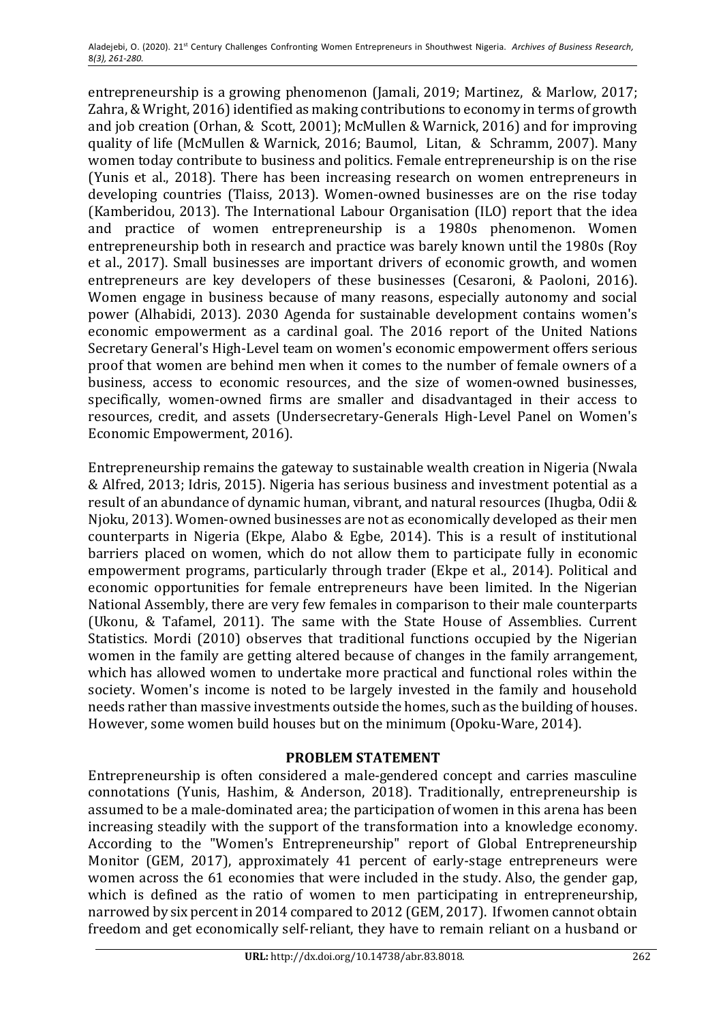entrepreneurship is a growing phenomenon (Jamali, 2019; Martinez, & Marlow, 2017; Zahra, & Wright, 2016) identified as making contributions to economy in terms of growth and job creation (Orhan,  $&$  Scott, 2001); McMullen  $&$  Warnick, 2016) and for improving quality of life (McMullen & Warnick, 2016; Baumol, Litan, & Schramm, 2007). Many women today contribute to business and politics. Female entrepreneurship is on the rise (Yunis et al., 2018). There has been increasing research on women entrepreneurs in developing countries (Tlaiss, 2013). Women-owned businesses are on the rise today (Kamberidou, 2013). The International Labour Organisation (ILO) report that the idea and practice of women entrepreneurship is a 1980s phenomenon. Women entrepreneurship both in research and practice was barely known until the 1980s (Roy et al., 2017). Small businesses are important drivers of economic growth, and women entrepreneurs are key developers of these businesses (Cesaroni, & Paoloni, 2016). Women engage in business because of many reasons, especially autonomy and social power (Alhabidi, 2013). 2030 Agenda for sustainable development contains women's economic empowerment as a cardinal goal. The 2016 report of the United Nations Secretary General's High-Level team on women's economic empowerment offers serious proof that women are behind men when it comes to the number of female owners of a business, access to economic resources, and the size of women-owned businesses, specifically, women-owned firms are smaller and disadvantaged in their access to resources, credit, and assets (Undersecretary-Generals High-Level Panel on Women's Economic Empowerment, 2016).

Entrepreneurship remains the gateway to sustainable wealth creation in Nigeria (Nwala & Alfred, 2013; Idris, 2015). Nigeria has serious business and investment potential as a result of an abundance of dynamic human, vibrant, and natural resources (Ihugba, Odii & Njoku, 2013). Women-owned businesses are not as economically developed as their men counterparts in Nigeria (Ekpe, Alabo & Egbe, 2014). This is a result of institutional barriers placed on women, which do not allow them to participate fully in economic empowerment programs, particularly through trader (Ekpe et al., 2014). Political and economic opportunities for female entrepreneurs have been limited. In the Nigerian National Assembly, there are very few females in comparison to their male counterparts (Ukonu, & Tafamel, 2011). The same with the State House of Assemblies. Current Statistics. Mordi (2010) observes that traditional functions occupied by the Nigerian women in the family are getting altered because of changes in the family arrangement, which has allowed women to undertake more practical and functional roles within the society. Women's income is noted to be largely invested in the family and household needs rather than massive investments outside the homes, such as the building of houses. However, some women build houses but on the minimum (Opoku-Ware, 2014).

## **PROBLEM STATEMENT**

Entrepreneurship is often considered a male-gendered concept and carries masculine connotations (Yunis, Hashim, & Anderson, 2018). Traditionally, entrepreneurship is assumed to be a male-dominated area; the participation of women in this arena has been increasing steadily with the support of the transformation into a knowledge economy. According to the "Women's Entrepreneurship" report of Global Entrepreneurship Monitor (GEM, 2017), approximately 41 percent of early-stage entrepreneurs were women across the 61 economies that were included in the study. Also, the gender gap, which is defined as the ratio of women to men participating in entrepreneurship, narrowed by six percent in 2014 compared to 2012 (GEM, 2017). If women cannot obtain freedom and get economically self-reliant, they have to remain reliant on a husband or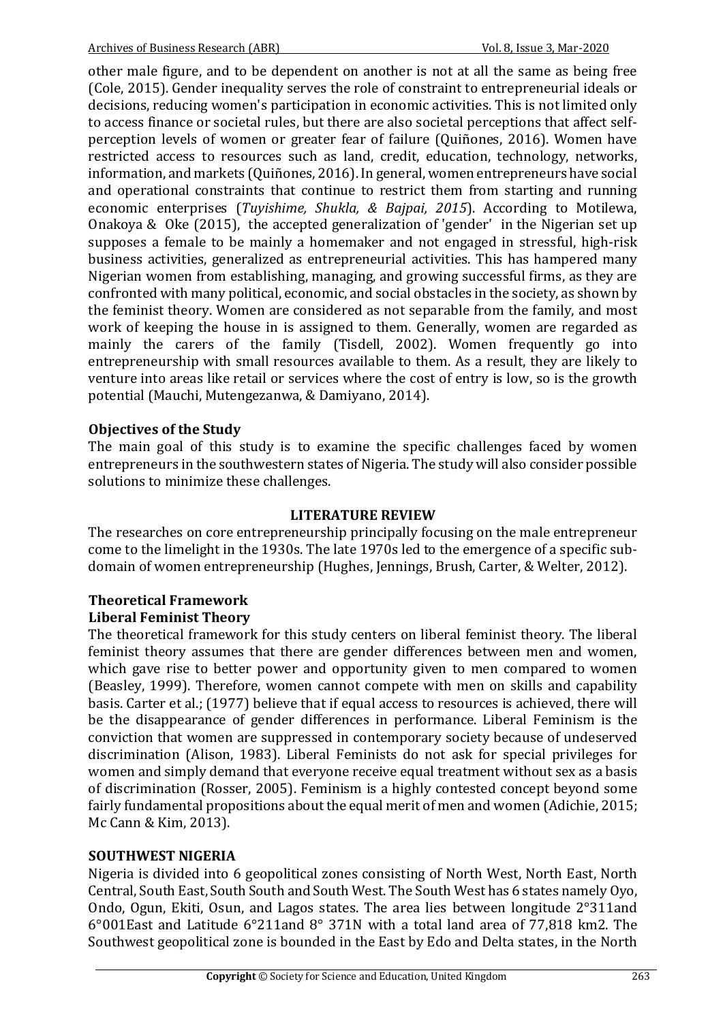other male figure, and to be dependent on another is not at all the same as being free (Cole, 2015). Gender inequality serves the role of constraint to entrepreneurial ideals or decisions, reducing women's participation in economic activities. This is not limited only to access finance or societal rules, but there are also societal perceptions that affect selfperception levels of women or greater fear of failure (Quiñones, 2016). Women have restricted access to resources such as land, credit, education, technology, networks, information, and markets (Quiñones, 2016). In general, women entrepreneurs have social and operational constraints that continue to restrict them from starting and running economic enterprises (*Tuyishime, Shukla, & Bajpai, 2015*). According to Motilewa, Onakoya & Oke  $(2015)$ , the accepted generalization of 'gender' in the Nigerian set up supposes a female to be mainly a homemaker and not engaged in stressful, high-risk business activities, generalized as entrepreneurial activities. This has hampered many Nigerian women from establishing, managing, and growing successful firms, as they are confronted with many political, economic, and social obstacles in the society, as shown by the feminist theory. Women are considered as not separable from the family, and most work of keeping the house in is assigned to them. Generally, women are regarded as mainly the carers of the family (Tisdell, 2002). Women frequently go into entrepreneurship with small resources available to them. As a result, they are likely to venture into areas like retail or services where the cost of entry is low, so is the growth potential (Mauchi, Mutengezanwa, & Damiyano, 2014).

### **Objectives of the Study**

The main goal of this study is to examine the specific challenges faced by women entrepreneurs in the southwestern states of Nigeria. The study will also consider possible solutions to minimize these challenges.

### **LITERATURE REVIEW**

The researches on core entrepreneurship principally focusing on the male entrepreneur come to the limelight in the 1930s. The late 1970s led to the emergence of a specific subdomain of women entrepreneurship (Hughes, Jennings, Brush, Carter, & Welter, 2012).

## **Theoretical Framework Liberal Feminist Theory**

The theoretical framework for this study centers on liberal feminist theory. The liberal feminist theory assumes that there are gender differences between men and women, which gave rise to better power and opportunity given to men compared to women (Beasley, 1999). Therefore, women cannot compete with men on skills and capability basis. Carter et al.; (1977) believe that if equal access to resources is achieved, there will be the disappearance of gender differences in performance. Liberal Feminism is the conviction that women are suppressed in contemporary society because of undeserved discrimination (Alison, 1983). Liberal Feminists do not ask for special privileges for women and simply demand that everyone receive equal treatment without sex as a basis of discrimination (Rosser, 2005). Feminism is a highly contested concept beyond some fairly fundamental propositions about the equal merit of men and women (Adichie, 2015; Mc Cann & Kim, 2013).

### **SOUTHWEST NIGERIA**

Nigeria is divided into 6 geopolitical zones consisting of North West, North East, North Central, South East, South South and South West. The South West has 6 states namely Oyo, Ondo, Ogun, Ekiti, Osun, and Lagos states. The area lies between longitude 2°311and  $6^{\circ}001$ East and Latitude  $6^{\circ}211$ and  $8^{\circ}$  371N with a total land area of 77,818 km2. The Southwest geopolitical zone is bounded in the East by Edo and Delta states, in the North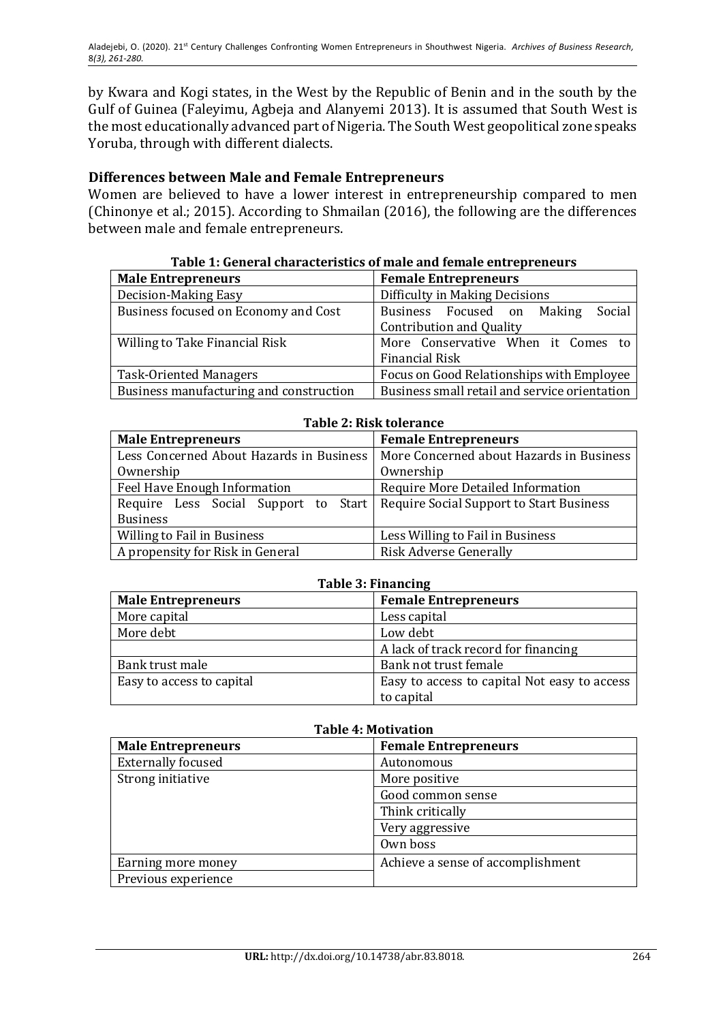by Kwara and Kogi states, in the West by the Republic of Benin and in the south by the Gulf of Guinea (Faleyimu, Agbeja and Alanyemi 2013). It is assumed that South West is the most educationally advanced part of Nigeria. The South West geopolitical zone speaks Yoruba, through with different dialects.

## **Differences between Male and Female Entrepreneurs**

Women are believed to have a lower interest in entrepreneurship compared to men (Chinonye et al.; 2015). According to Shmailan (2016), the following are the differences between male and female entrepreneurs.

| Table 1. General enargeteristics of male and female entrepreneurs |                                               |  |  |
|-------------------------------------------------------------------|-----------------------------------------------|--|--|
| <b>Male Entrepreneurs</b>                                         | <b>Female Entrepreneurs</b>                   |  |  |
| Decision-Making Easy                                              | Difficulty in Making Decisions                |  |  |
| Business focused on Economy and Cost                              | Social<br>Business Focused on Making          |  |  |
|                                                                   | <b>Contribution and Quality</b>               |  |  |
| Willing to Take Financial Risk                                    | More Conservative When it Comes to            |  |  |
|                                                                   | <b>Financial Risk</b>                         |  |  |
| <b>Task-Oriented Managers</b>                                     | Focus on Good Relationships with Employee     |  |  |
| Business manufacturing and construction                           | Business small retail and service orientation |  |  |

#### Table 1: General characteristics of male and female entrepreneurs

| Table 2: Risk tolerance                                                         |                                          |  |  |
|---------------------------------------------------------------------------------|------------------------------------------|--|--|
| <b>Male Entrepreneurs</b>                                                       | <b>Female Entrepreneurs</b>              |  |  |
| Less Concerned About Hazards in Business                                        | More Concerned about Hazards in Business |  |  |
| Ownership                                                                       | Ownership                                |  |  |
| Feel Have Enough Information                                                    | Require More Detailed Information        |  |  |
| Require Less Social Support to Start   Require Social Support to Start Business |                                          |  |  |
| <b>Business</b>                                                                 |                                          |  |  |
| <b>Willing to Fail in Business</b>                                              | Less Willing to Fail in Business         |  |  |
| A propensity for Risk in General                                                | <b>Risk Adverse Generally</b>            |  |  |

| Require Less Social Support to Start   Require Social Support to Start Business |                                  |  |  |  |  |
|---------------------------------------------------------------------------------|----------------------------------|--|--|--|--|
| <b>Business</b>                                                                 |                                  |  |  |  |  |
| Willing to Fail in Business                                                     | Less Willing to Fail in Business |  |  |  |  |
| A propensity for Risk in General<br>Risk Adverse Generally                      |                                  |  |  |  |  |
|                                                                                 |                                  |  |  |  |  |
| <b>Table 3: Financing</b>                                                       |                                  |  |  |  |  |
| <b>Male Entrepreneurs</b>                                                       | <b>Female Entrepreneurs</b>      |  |  |  |  |
| More capital                                                                    | Less capital                     |  |  |  |  |
| More debt                                                                       | nw deht                          |  |  |  |  |

| More capital              | Less capital                                 |
|---------------------------|----------------------------------------------|
| More debt                 | Low debt                                     |
|                           | A lack of track record for financing         |
| Bank trust male           | Bank not trust female                        |
| Easy to access to capital | Easy to access to capital Not easy to access |
|                           | to capital                                   |

| <b>Table 4: Motivation</b> |                                   |  |  |
|----------------------------|-----------------------------------|--|--|
| <b>Male Entrepreneurs</b>  | <b>Female Entrepreneurs</b>       |  |  |
| <b>Externally focused</b>  | Autonomous                        |  |  |
| Strong initiative          | More positive                     |  |  |
|                            | Good common sense                 |  |  |
|                            | Think critically                  |  |  |
|                            | Very aggressive                   |  |  |
|                            | Own boss                          |  |  |
| Earning more money         | Achieve a sense of accomplishment |  |  |
| Previous experience        |                                   |  |  |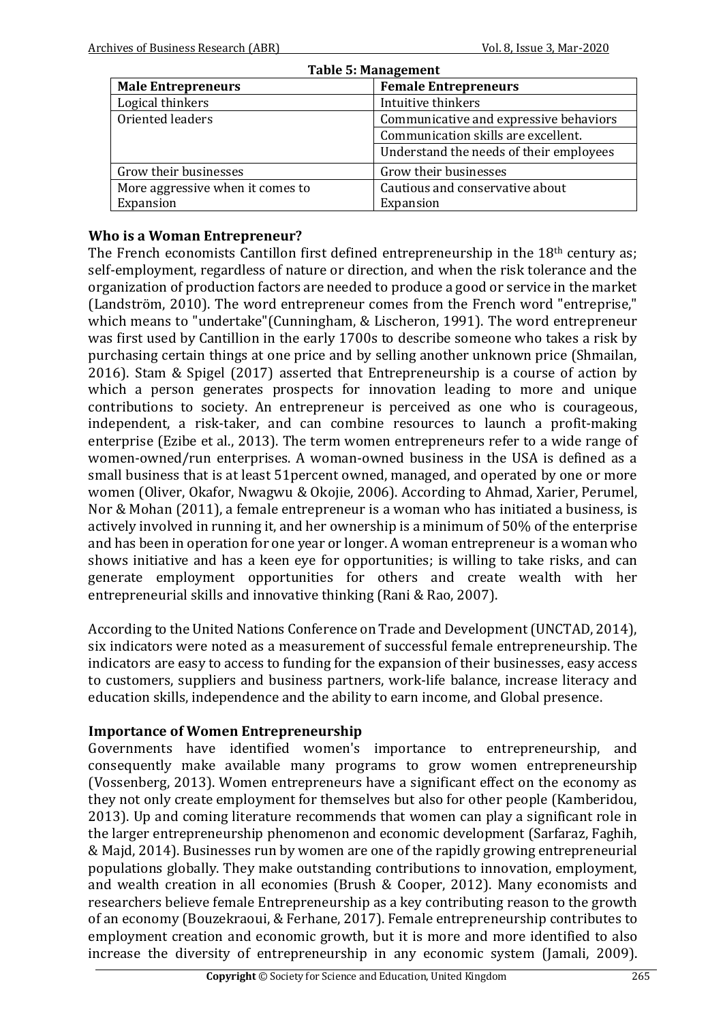| <b>Table 5: Management</b>                               |                                         |  |  |
|----------------------------------------------------------|-----------------------------------------|--|--|
| <b>Female Entrepreneurs</b><br><b>Male Entrepreneurs</b> |                                         |  |  |
| Logical thinkers                                         | Intuitive thinkers                      |  |  |
| Oriented leaders                                         | Communicative and expressive behaviors  |  |  |
|                                                          | Communication skills are excellent.     |  |  |
|                                                          | Understand the needs of their employees |  |  |
| Grow their businesses                                    | Grow their businesses                   |  |  |
| More aggressive when it comes to                         | Cautious and conservative about         |  |  |
| Expansion                                                | Expansion                               |  |  |

## **Who is a Woman Entrepreneur?**

The French economists Cantillon first defined entrepreneurship in the  $18<sup>th</sup>$  century as; self-employment, regardless of nature or direction, and when the risk tolerance and the organization of production factors are needed to produce a good or service in the market (Landström, 2010). The word entrepreneur comes from the French word "entreprise," which means to "undertake"(Cunningham, & Lischeron, 1991). The word entrepreneur was first used by Cantillion in the early 1700s to describe someone who takes a risk by purchasing certain things at one price and by selling another unknown price (Shmailan, 2016). Stam & Spigel (2017) asserted that Entrepreneurship is a course of action by which a person generates prospects for innovation leading to more and unique contributions to society. An entrepreneur is perceived as one who is courageous, independent, a risk-taker, and can combine resources to launch a profit-making enterprise (Ezibe et al., 2013). The term women entrepreneurs refer to a wide range of women-owned/run enterprises. A woman-owned business in the USA is defined as a small business that is at least 51 percent owned, managed, and operated by one or more women (Oliver, Okafor, Nwagwu & Okojie, 2006). According to Ahmad, Xarier, Perumel, Nor & Mohan (2011), a female entrepreneur is a woman who has initiated a business, is actively involved in running it, and her ownership is a minimum of 50% of the enterprise and has been in operation for one year or longer. A woman entrepreneur is a woman who shows initiative and has a keen eye for opportunities; is willing to take risks, and can generate employment opportunities for others and create wealth with her entrepreneurial skills and innovative thinking (Rani & Rao, 2007).

According to the United Nations Conference on Trade and Development (UNCTAD, 2014), six indicators were noted as a measurement of successful female entrepreneurship. The indicators are easy to access to funding for the expansion of their businesses, easy access to customers, suppliers and business partners, work-life balance, increase literacy and education skills, independence and the ability to earn income, and Global presence.

### **Importance of Women Entrepreneurship**

Governments have identified women's importance to entrepreneurship, and consequently make available many programs to grow women entrepreneurship (Vossenberg, 2013). Women entrepreneurs have a significant effect on the economy as they not only create employment for themselves but also for other people (Kamberidou, 2013). Up and coming literature recommends that women can play a significant role in the larger entrepreneurship phenomenon and economic development (Sarfaraz, Faghih, & Majd, 2014). Businesses run by women are one of the rapidly growing entrepreneurial populations globally. They make outstanding contributions to innovation, employment, and wealth creation in all economies (Brush & Cooper, 2012). Many economists and researchers believe female Entrepreneurship as a key contributing reason to the growth of an economy (Bouzekraoui, & Ferhane, 2017). Female entrepreneurship contributes to employment creation and economic growth, but it is more and more identified to also increase the diversity of entrepreneurship in any economic system (Jamali, 2009).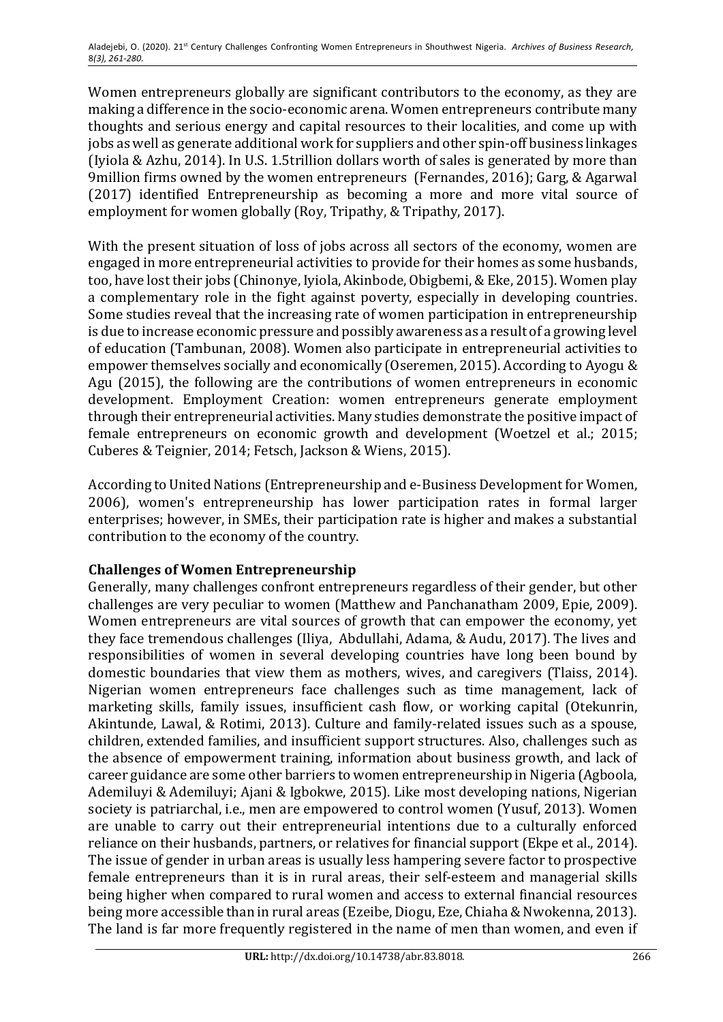Women entrepreneurs globally are significant contributors to the economy, as they are making a difference in the socio-economic arena. Women entrepreneurs contribute many thoughts and serious energy and capital resources to their localities, and come up with jobs as well as generate additional work for suppliers and other spin-off business linkages (Iyiola & Azhu, 2014). In U.S. 1.5trillion dollars worth of sales is generated by more than 9million firms owned by the women entrepreneurs (Fernandes, 2016); Garg, & Agarwal (2017) identified Entrepreneurship as becoming a more and more vital source of employment for women globally (Roy, Tripathy, & Tripathy, 2017).

With the present situation of loss of jobs across all sectors of the economy, women are engaged in more entrepreneurial activities to provide for their homes as some husbands, too, have lost their jobs (Chinonye, Iyiola, Akinbode, Obigbemi, & Eke, 2015). Women play a complementary role in the fight against poverty, especially in developing countries. Some studies reveal that the increasing rate of women participation in entrepreneurship is due to increase economic pressure and possibly awareness as a result of a growing level of education (Tambunan, 2008). Women also participate in entrepreneurial activities to empower themselves socially and economically (Oseremen, 2015). According to Ayogu & Agu (2015), the following are the contributions of women entrepreneurs in economic development. Employment Creation: women entrepreneurs generate employment through their entrepreneurial activities. Many studies demonstrate the positive impact of female entrepreneurs on economic growth and development (Woetzel et al.; 2015; Cuberes & Teignier, 2014; Fetsch, Jackson & Wiens, 2015).

According to United Nations (Entrepreneurship and e-Business Development for Women, 2006), women's entrepreneurship has lower participation rates in formal larger enterprises; however, in SMEs, their participation rate is higher and makes a substantial contribution to the economy of the country.

## **Challenges of Women Entrepreneurship**

Generally, many challenges confront entrepreneurs regardless of their gender, but other challenges are very peculiar to women (Matthew and Panchanatham 2009, Epie, 2009). Women entrepreneurs are vital sources of growth that can empower the economy, yet they face tremendous challenges (Iliya, Abdullahi, Adama, & Audu, 2017). The lives and responsibilities of women in several developing countries have long been bound by domestic boundaries that view them as mothers, wives, and caregivers (Tlaiss, 2014). Nigerian women entrepreneurs face challenges such as time management, lack of marketing skills, family issues, insufficient cash flow, or working capital (Otekunrin, Akintunde, Lawal, & Rotimi, 2013). Culture and family-related issues such as a spouse, children, extended families, and insufficient support structures. Also, challenges such as the absence of empowerment training, information about business growth, and lack of career guidance are some other barriers to women entrepreneurship in Nigeria (Agboola, Ademiluyi & Ademiluyi; Ajani & Igbokwe, 2015). Like most developing nations, Nigerian society is patriarchal, i.e., men are empowered to control women (Yusuf, 2013). Women are unable to carry out their entrepreneurial intentions due to a culturally enforced reliance on their husbands, partners, or relatives for financial support (Ekpe et al., 2014). The issue of gender in urban areas is usually less hampering severe factor to prospective female entrepreneurs than it is in rural areas, their self-esteem and managerial skills being higher when compared to rural women and access to external financial resources being more accessible than in rural areas (Ezeibe, Diogu, Eze, Chiaha & Nwokenna, 2013). The land is far more frequently registered in the name of men than women, and even if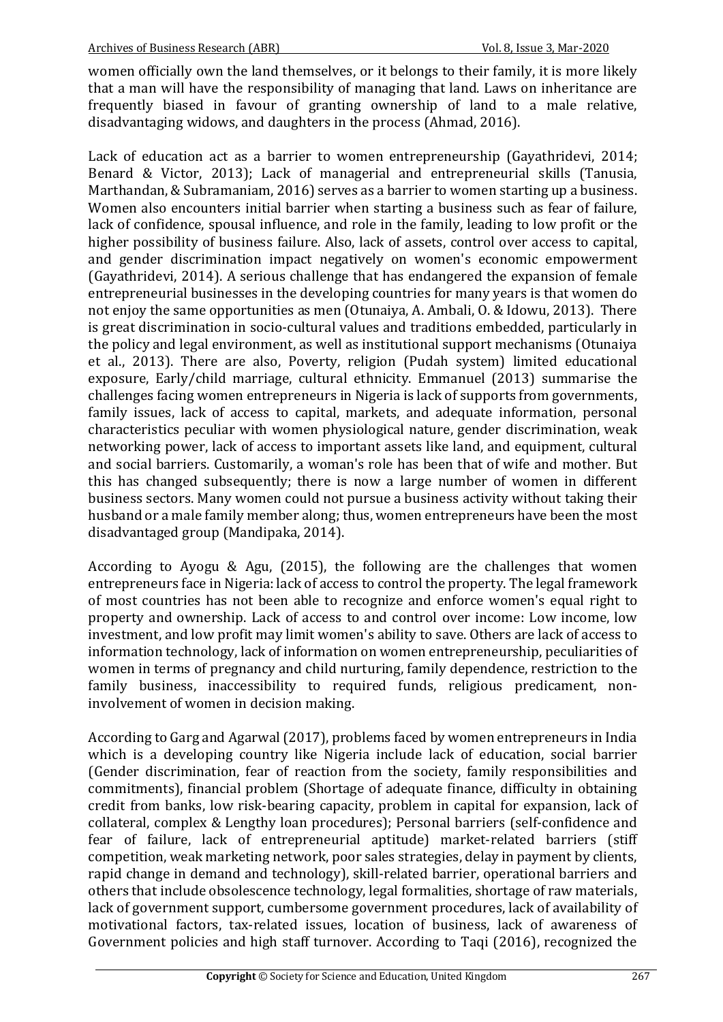women officially own the land themselves, or it belongs to their family, it is more likely that a man will have the responsibility of managing that land. Laws on inheritance are frequently biased in favour of granting ownership of land to a male relative, disadvantaging widows, and daughters in the process (Ahmad, 2016).

Lack of education act as a barrier to women entrepreneurship (Gavathridevi, 2014; Benard & Victor, 2013); Lack of managerial and entrepreneurial skills (Tanusia, Marthandan, & Subramaniam, 2016) serves as a barrier to women starting up a business. Women also encounters initial barrier when starting a business such as fear of failure, lack of confidence, spousal influence, and role in the family, leading to low profit or the higher possibility of business failure. Also, lack of assets, control over access to capital, and gender discrimination impact negatively on women's economic empowerment (Gayathridevi, 2014). A serious challenge that has endangered the expansion of female entrepreneurial businesses in the developing countries for many years is that women do not enjoy the same opportunities as men (Otunaiya, A. Ambali, O. & Idowu, 2013). There is great discrimination in socio-cultural values and traditions embedded, particularly in the policy and legal environment, as well as institutional support mechanisms (Otunaiya et al., 2013). There are also, Poverty, religion (Pudah system) limited educational exposure, Early/child marriage, cultural ethnicity. Emmanuel (2013) summarise the challenges facing women entrepreneurs in Nigeria is lack of supports from governments, family issues, lack of access to capital, markets, and adequate information, personal characteristics peculiar with women physiological nature, gender discrimination, weak networking power, lack of access to important assets like land, and equipment, cultural and social barriers. Customarily, a woman's role has been that of wife and mother. But this has changed subsequently; there is now a large number of women in different business sectors. Many women could not pursue a business activity without taking their husband or a male family member along; thus, women entrepreneurs have been the most disadvantaged group (Mandipaka, 2014).

According to Ayogu & Agu,  $(2015)$ , the following are the challenges that women entrepreneurs face in Nigeria: lack of access to control the property. The legal framework of most countries has not been able to recognize and enforce women's equal right to property and ownership. Lack of access to and control over income: Low income, low investment, and low profit may limit women's ability to save. Others are lack of access to information technology, lack of information on women entrepreneurship, peculiarities of women in terms of pregnancy and child nurturing, family dependence, restriction to the family business, inaccessibility to required funds, religious predicament, noninvolvement of women in decision making.

According to Garg and Agarwal (2017), problems faced by women entrepreneurs in India which is a developing country like Nigeria include lack of education, social barrier (Gender discrimination, fear of reaction from the society, family responsibilities and commitments), financial problem (Shortage of adequate finance, difficulty in obtaining credit from banks, low risk-bearing capacity, problem in capital for expansion, lack of collateral, complex & Lengthy loan procedures); Personal barriers (self-confidence and fear of failure, lack of entrepreneurial aptitude) market-related barriers (stiff competition, weak marketing network, poor sales strategies, delay in payment by clients, rapid change in demand and technology), skill-related barrier, operational barriers and others that include obsolescence technology, legal formalities, shortage of raw materials, lack of government support, cumbersome government procedures, lack of availability of motivational factors, tax-related issues, location of business, lack of awareness of Government policies and high staff turnover. According to Taqi (2016), recognized the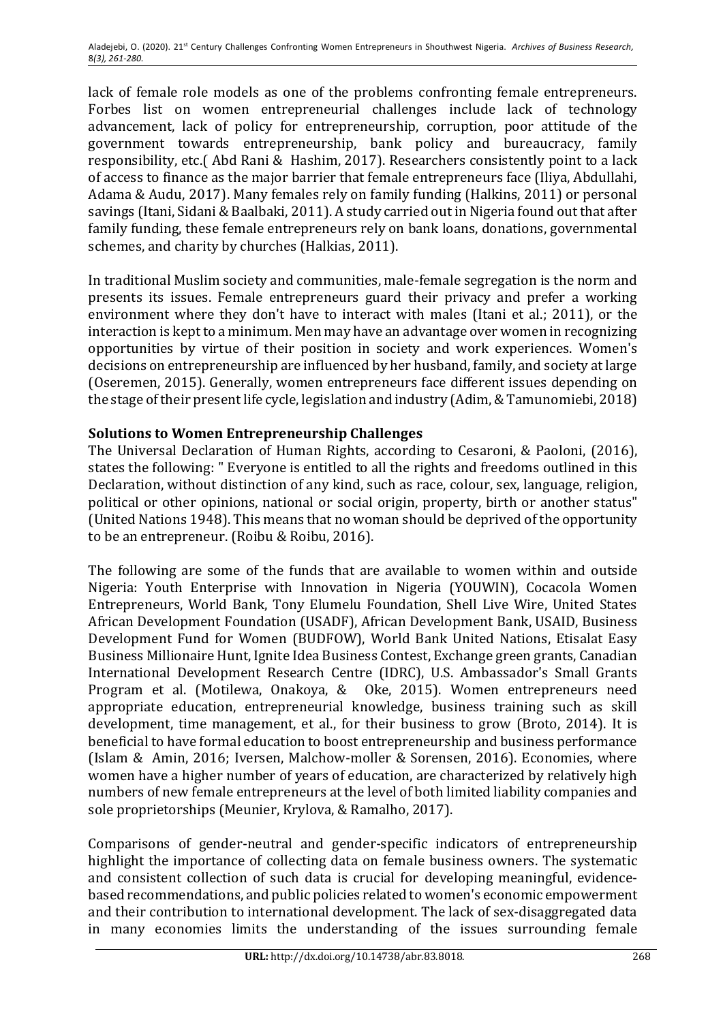lack of female role models as one of the problems confronting female entrepreneurs. Forbes list on women entrepreneurial challenges include lack of technology advancement, lack of policy for entrepreneurship, corruption, poor attitude of the government towards entrepreneurship, bank policy and bureaucracy, family responsibility, etc.( Abd Rani & Hashim, 2017). Researchers consistently point to a lack of access to finance as the major barrier that female entrepreneurs face (Iliya, Abdullahi, Adama & Audu, 2017). Many females rely on family funding (Halkins, 2011) or personal savings (Itani, Sidani & Baalbaki, 2011). A study carried out in Nigeria found out that after family funding, these female entrepreneurs rely on bank loans, donations, governmental schemes, and charity by churches (Halkias, 2011).

In traditional Muslim society and communities, male-female segregation is the norm and presents its issues. Female entrepreneurs guard their privacy and prefer a working environment where they don't have to interact with males (Itani et al.; 2011), or the interaction is kept to a minimum. Men may have an advantage over women in recognizing opportunities by virtue of their position in society and work experiences. Women's decisions on entrepreneurship are influenced by her husband, family, and society at large (Oseremen, 2015). Generally, women entrepreneurs face different issues depending on the stage of their present life cycle, legislation and industry (Adim, & Tamunomiebi, 2018)

# **Solutions to Women Entrepreneurship Challenges**

The Universal Declaration of Human Rights, according to Cesaroni, & Paoloni, (2016), states the following: " Everyone is entitled to all the rights and freedoms outlined in this Declaration, without distinction of any kind, such as race, colour, sex, language, religion, political or other opinions, national or social origin, property, birth or another status" (United Nations 1948). This means that no woman should be deprived of the opportunity to be an entrepreneur. (Roibu & Roibu, 2016).

The following are some of the funds that are available to women within and outside Nigeria: Youth Enterprise with Innovation in Nigeria (YOUWIN), Cocacola Women Entrepreneurs, World Bank, Tony Elumelu Foundation, Shell Live Wire, United States African Development Foundation (USADF), African Development Bank, USAID, Business Development Fund for Women (BUDFOW), World Bank United Nations, Etisalat Easy Business Millionaire Hunt, Ignite Idea Business Contest, Exchange green grants, Canadian International Development Research Centre (IDRC), U.S. Ambassador's Small Grants Program et al. (Motilewa, Onakoya, & Oke, 2015). Women entrepreneurs need appropriate education, entrepreneurial knowledge, business training such as skill development, time management, et al., for their business to grow (Broto, 2014). It is beneficial to have formal education to boost entrepreneurship and business performance (Islam & Amin, 2016; Iversen, Malchow-moller & Sorensen, 2016). Economies, where women have a higher number of years of education, are characterized by relatively high numbers of new female entrepreneurs at the level of both limited liability companies and sole proprietorships (Meunier, Krylova, & Ramalho, 2017).

Comparisons of gender-neutral and gender-specific indicators of entrepreneurship highlight the importance of collecting data on female business owners. The systematic and consistent collection of such data is crucial for developing meaningful, evidencebased recommendations, and public policies related to women's economic empowerment and their contribution to international development. The lack of sex-disaggregated data in many economies limits the understanding of the issues surrounding female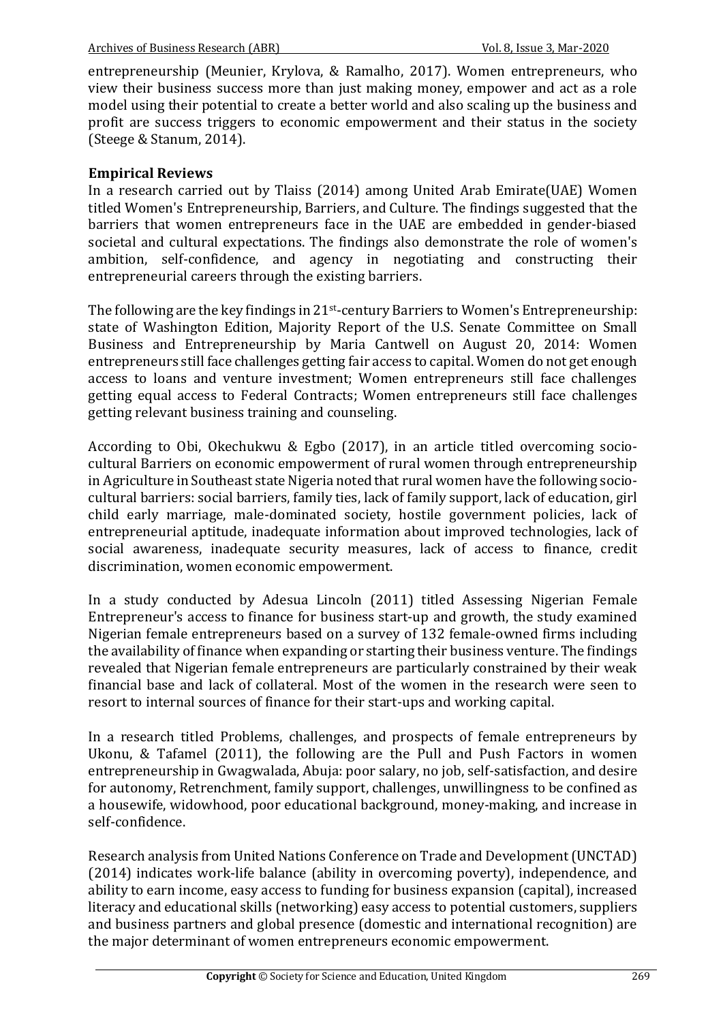entrepreneurship (Meunier, Krylova, & Ramalho, 2017). Women entrepreneurs, who view their business success more than just making money, empower and act as a role model using their potential to create a better world and also scaling up the business and profit are success triggers to economic empowerment and their status in the society (Steege & Stanum, 2014).

### **Empirical Reviews**

In a research carried out by Tlaiss (2014) among United Arab Emirate(UAE) Women titled Women's Entrepreneurship, Barriers, and Culture. The findings suggested that the barriers that women entrepreneurs face in the UAE are embedded in gender-biased societal and cultural expectations. The findings also demonstrate the role of women's ambition, self-confidence, and agency in negotiating and constructing their entrepreneurial careers through the existing barriers.

The following are the key findings in  $21<sup>st</sup>$ -century Barriers to Women's Entrepreneurship: state of Washington Edition, Majority Report of the U.S. Senate Committee on Small Business and Entrepreneurship by Maria Cantwell on August 20, 2014: Women entrepreneurs still face challenges getting fair access to capital. Women do not get enough access to loans and venture investment; Women entrepreneurs still face challenges getting equal access to Federal Contracts; Women entrepreneurs still face challenges getting relevant business training and counseling.

According to Obi, Okechukwu & Egbo (2017), in an article titled overcoming sociocultural Barriers on economic empowerment of rural women through entrepreneurship in Agriculture in Southeast state Nigeria noted that rural women have the following sociocultural barriers: social barriers, family ties, lack of family support, lack of education, girl child early marriage, male-dominated society, hostile government policies, lack of entrepreneurial aptitude, inadequate information about improved technologies, lack of social awareness, inadequate security measures, lack of access to finance, credit discrimination, women economic empowerment.

In a study conducted by Adesua Lincoln (2011) titled Assessing Nigerian Female Entrepreneur's access to finance for business start-up and growth, the study examined Nigerian female entrepreneurs based on a survey of 132 female-owned firms including the availability of finance when expanding or starting their business venture. The findings revealed that Nigerian female entrepreneurs are particularly constrained by their weak financial base and lack of collateral. Most of the women in the research were seen to resort to internal sources of finance for their start-ups and working capital.

In a research titled Problems, challenges, and prospects of female entrepreneurs by Ukonu, & Tafamel  $(2011)$ , the following are the Pull and Push Factors in women entrepreneurship in Gwagwalada, Abuja: poor salary, no job, self-satisfaction, and desire for autonomy, Retrenchment, family support, challenges, unwillingness to be confined as a housewife, widowhood, poor educational background, money-making, and increase in self-confidence. 

Research analysis from United Nations Conference on Trade and Development (UNCTAD)  $(2014)$  indicates work-life balance (ability in overcoming poverty), independence, and ability to earn income, easy access to funding for business expansion (capital), increased literacy and educational skills (networking) easy access to potential customers, suppliers and business partners and global presence (domestic and international recognition) are the major determinant of women entrepreneurs economic empowerment.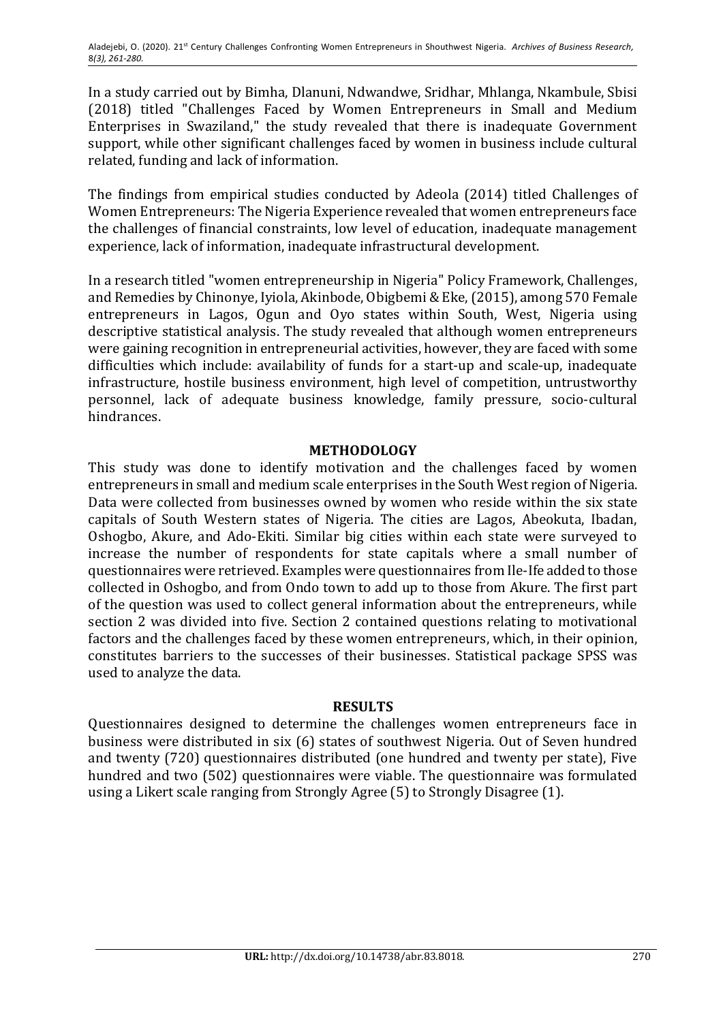In a study carried out by Bimha, Dlanuni, Ndwandwe, Sridhar, Mhlanga, Nkambule, Sbisi (2018) titled "Challenges Faced by Women Entrepreneurs in Small and Medium Enterprises in Swaziland," the study revealed that there is inadequate Government support, while other significant challenges faced by women in business include cultural related, funding and lack of information.

The findings from empirical studies conducted by Adeola (2014) titled Challenges of Women Entrepreneurs: The Nigeria Experience revealed that women entrepreneurs face the challenges of financial constraints, low level of education, inadequate management experience, lack of information, inadequate infrastructural development.

In a research titled "women entrepreneurship in Nigeria" Policy Framework, Challenges, and Remedies by Chinonye, Iyiola, Akinbode, Obigbemi & Eke, (2015), among 570 Female entrepreneurs in Lagos, Ogun and Oyo states within South, West, Nigeria using descriptive statistical analysis. The study revealed that although women entrepreneurs were gaining recognition in entrepreneurial activities, however, they are faced with some difficulties which include: availability of funds for a start-up and scale-up, inadequate infrastructure, hostile business environment, high level of competition, untrustworthy personnel, lack of adequate business knowledge, family pressure, socio-cultural hindrances. 

### **METHODOLOGY**

This study was done to identify motivation and the challenges faced by women entrepreneurs in small and medium scale enterprises in the South West region of Nigeria. Data were collected from businesses owned by women who reside within the six state capitals of South Western states of Nigeria. The cities are Lagos, Abeokuta, Ibadan, Oshogbo, Akure, and Ado-Ekiti. Similar big cities within each state were surveyed to increase the number of respondents for state capitals where a small number of questionnaires were retrieved. Examples were questionnaires from Ile-Ife added to those collected in Oshogbo, and from Ondo town to add up to those from Akure. The first part of the question was used to collect general information about the entrepreneurs, while section 2 was divided into five. Section 2 contained questions relating to motivational factors and the challenges faced by these women entrepreneurs, which, in their opinion, constitutes barriers to the successes of their businesses. Statistical package SPSS was used to analyze the data.

### **RESULTS**

Questionnaires designed to determine the challenges women entrepreneurs face in business were distributed in six (6) states of southwest Nigeria. Out of Seven hundred and twenty (720) questionnaires distributed (one hundred and twenty per state), Five hundred and two (502) questionnaires were viable. The questionnaire was formulated using a Likert scale ranging from Strongly Agree (5) to Strongly Disagree (1).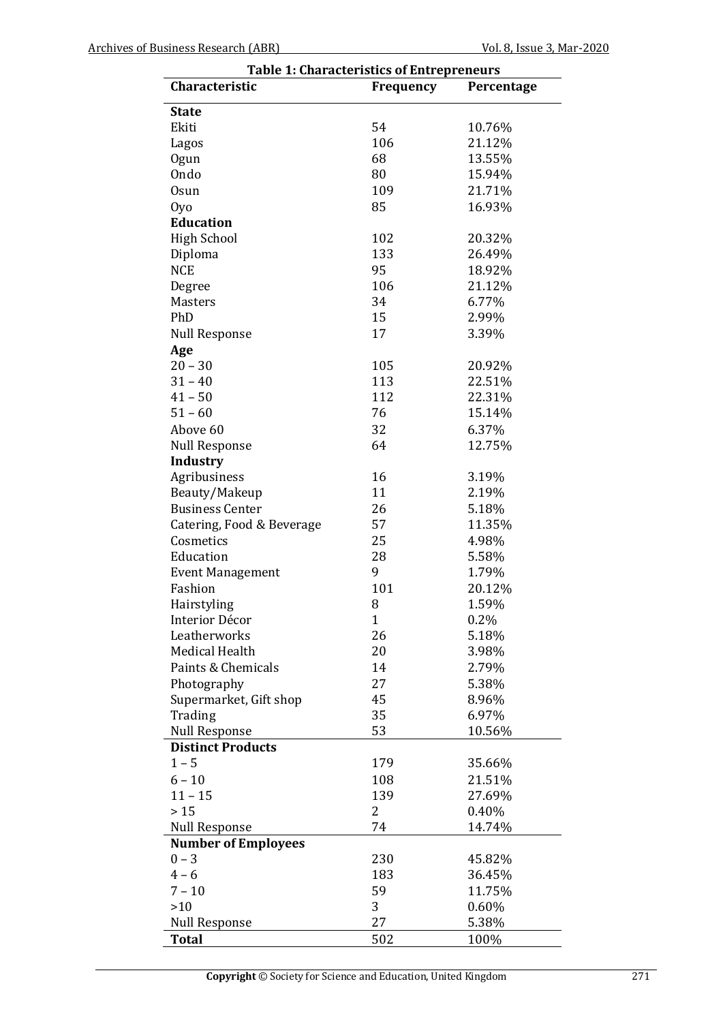| <b>Table 1: Characteristics of Entrepreneurs</b> |              |                 |  |  |  |
|--------------------------------------------------|--------------|-----------------|--|--|--|
| Characteristic                                   | Frequency    | Percentage      |  |  |  |
| <b>State</b>                                     |              |                 |  |  |  |
| Ekiti                                            | 54           | 10.76%          |  |  |  |
| Lagos                                            | 106          | 21.12%          |  |  |  |
| Ogun                                             | 68           | 13.55%          |  |  |  |
| Ondo                                             | 80           | 15.94%          |  |  |  |
| <b>Osun</b>                                      | 109          | 21.71%          |  |  |  |
| Oyo                                              | 85           | 16.93%          |  |  |  |
| <b>Education</b>                                 |              |                 |  |  |  |
| <b>High School</b>                               | 102          | 20.32%          |  |  |  |
| Diploma                                          | 133          | 26.49%          |  |  |  |
| <b>NCE</b>                                       | 95           | 18.92%          |  |  |  |
|                                                  | 106          |                 |  |  |  |
| Degree<br><b>Masters</b>                         | 34           | 21.12%<br>6.77% |  |  |  |
| PhD                                              |              |                 |  |  |  |
|                                                  | 15           | 2.99%           |  |  |  |
| <b>Null Response</b>                             | 17           | 3.39%           |  |  |  |
| Age                                              |              |                 |  |  |  |
| $20 - 30$                                        | 105          | 20.92%          |  |  |  |
| $31 - 40$                                        | 113          | 22.51%          |  |  |  |
| $41 - 50$                                        | 112          | 22.31%          |  |  |  |
| $51 - 60$                                        | 76           | 15.14%          |  |  |  |
| Above 60                                         | 32           | 6.37%           |  |  |  |
| <b>Null Response</b>                             | 64           | 12.75%          |  |  |  |
| Industry                                         |              |                 |  |  |  |
| Agribusiness                                     | 16           | 3.19%           |  |  |  |
| Beauty/Makeup                                    | 11           | 2.19%           |  |  |  |
| <b>Business Center</b>                           | 26           | 5.18%           |  |  |  |
| Catering, Food & Beverage                        | 57           | 11.35%          |  |  |  |
| Cosmetics                                        | 25           | 4.98%           |  |  |  |
| Education                                        | 28           | 5.58%           |  |  |  |
| <b>Event Management</b>                          | 9            | 1.79%           |  |  |  |
| Fashion                                          | 101          | 20.12%          |  |  |  |
| Hairstyling                                      | 8            | 1.59%           |  |  |  |
| Interior Décor                                   | $\mathbf{1}$ | 0.2%            |  |  |  |
| Leatherworks                                     | 26           | 5.18%           |  |  |  |
| Medical Health                                   | 20           | 3.98%           |  |  |  |
| Paints & Chemicals                               | 14           | 2.79%           |  |  |  |
| Photography                                      | 27           | 5.38%           |  |  |  |
| Supermarket, Gift shop                           | 45           | 8.96%           |  |  |  |
| Trading                                          | 35           | 6.97%           |  |  |  |
| <b>Null Response</b>                             | 53           | 10.56%          |  |  |  |
| <b>Distinct Products</b>                         |              |                 |  |  |  |
| $1 - 5$                                          | 179          | 35.66%          |  |  |  |
| $6 - 10$                                         | 108          | 21.51%          |  |  |  |
| $11 - 15$                                        | 139          | 27.69%          |  |  |  |
| > 15                                             | 2            | 0.40%           |  |  |  |
| <b>Null Response</b>                             | 74           | 14.74%          |  |  |  |
| <b>Number of Employees</b>                       |              |                 |  |  |  |
| $0 - 3$                                          | 230          | 45.82%          |  |  |  |
| $4 - 6$                                          | 183          | 36.45%          |  |  |  |
| $7 - 10$                                         | 59           | 11.75%          |  |  |  |
| $>10$                                            | 3            |                 |  |  |  |
|                                                  |              | 0.60%           |  |  |  |
| <b>Null Response</b>                             | 27           | 5.38%           |  |  |  |
| <b>Total</b>                                     | 502          | 100%            |  |  |  |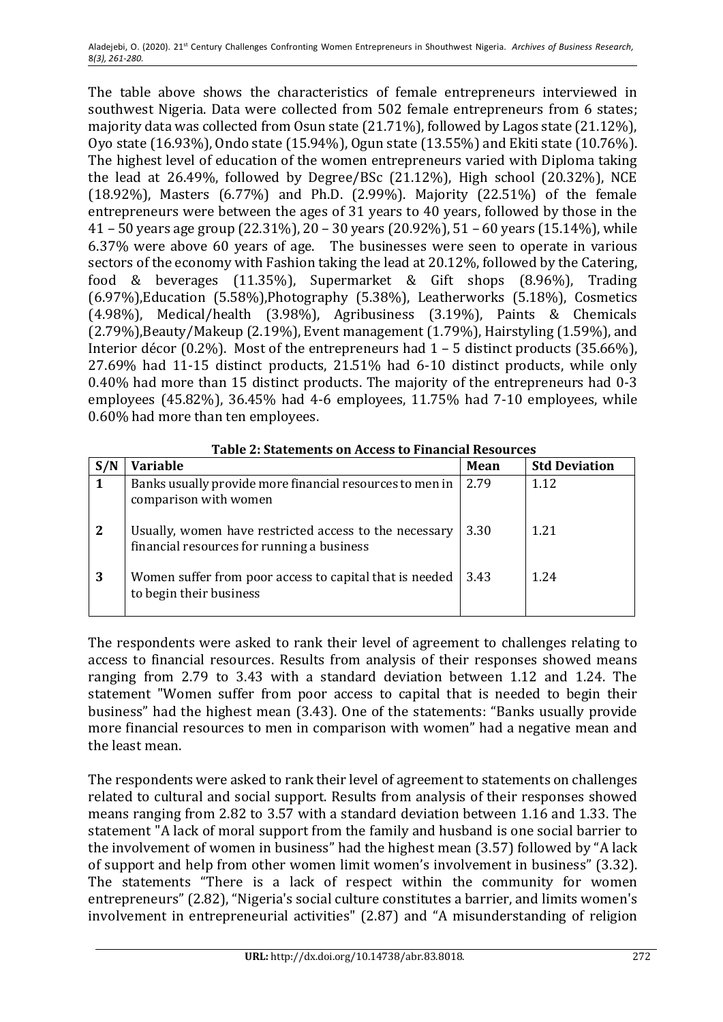The table above shows the characteristics of female entrepreneurs interviewed in southwest Nigeria. Data were collected from 502 female entrepreneurs from 6 states; majority data was collected from Osun state  $(21.71\%)$ , followed by Lagos state  $(21.12\%)$ , Oyo state  $(16.93\%)$ , Ondo state  $(15.94\%)$ , Ogun state  $(13.55\%)$  and Ekiti state  $(10.76\%)$ . The highest level of education of the women entrepreneurs varied with Diploma taking the lead at  $26.49\%$ , followed by Degree/BSc  $(21.12\%)$ , High school  $(20.32\%)$ , NCE (18.92%), Masters  $(6.77\%)$  and Ph.D. (2.99%). Majority (22.51%) of the female entrepreneurs were between the ages of 31 years to 40 years, followed by those in the 41 - 50 years age group (22.31%), 20 - 30 years (20.92%), 51 - 60 years (15.14%), while 6.37% were above 60 years of age. The businesses were seen to operate in various sectors of the economy with Fashion taking the lead at 20.12%, followed by the Catering, food & beverages (11.35%), Supermarket & Gift shops (8.96%), Trading  $(6.97%)$ , Education  $(5.58%)$ , Photography  $(5.38%)$ , Leatherworks  $(5.18%)$ , Cosmetics  $(4.98%)$ , Medical/health  $(3.98%)$ , Agribusiness  $(3.19%)$ , Paints & Chemicals  $(2.79\%)$ , Beauty/Makeup  $(2.19\%)$ , Event management  $(1.79\%)$ , Hairstyling  $(1.59\%)$ , and Interior décor (0.2%). Most of the entrepreneurs had  $1 - 5$  distinct products (35.66%),  $27.69\%$  had  $11-15$  distinct products,  $21.51\%$  had  $6-10$  distinct products, while only 0.40% had more than 15 distinct products. The majority of the entrepreneurs had 0-3 employees  $(45.82\%)$ ,  $36.45\%$  had  $4-6$  employees,  $11.75\%$  had  $7-10$  employees, while 0.60% had more than ten employees.

| S/N | Variable                                                                                             | <b>Mean</b> | <b>Std Deviation</b> |  |
|-----|------------------------------------------------------------------------------------------------------|-------------|----------------------|--|
|     | Banks usually provide more financial resources to men in<br>comparison with women                    | 2.79        | 1.12                 |  |
| 2   | Usually, women have restricted access to the necessary<br>financial resources for running a business | 3.30        | 1.21                 |  |
| 3   | Women suffer from poor access to capital that is needed<br>to begin their business                   | 3.43        | 1.24                 |  |

**Table 2: Statements on Access to Financial Resources** 

The respondents were asked to rank their level of agreement to challenges relating to access to financial resources. Results from analysis of their responses showed means ranging from 2.79 to 3.43 with a standard deviation between 1.12 and 1.24. The statement "Women suffer from poor access to capital that is needed to begin their business" had the highest mean (3.43). One of the statements: "Banks usually provide more financial resources to men in comparison with women" had a negative mean and the least mean.

The respondents were asked to rank their level of agreement to statements on challenges related to cultural and social support. Results from analysis of their responses showed means ranging from 2.82 to 3.57 with a standard deviation between 1.16 and 1.33. The statement "A lack of moral support from the family and husband is one social barrier to the involvement of women in business" had the highest mean  $(3.57)$  followed by "A lack of support and help from other women limit women's involvement in business" (3.32). The statements "There is a lack of respect within the community for women entrepreneurs" (2.82), "Nigeria's social culture constitutes a barrier, and limits women's involvement in entrepreneurial activities" (2.87) and "A misunderstanding of religion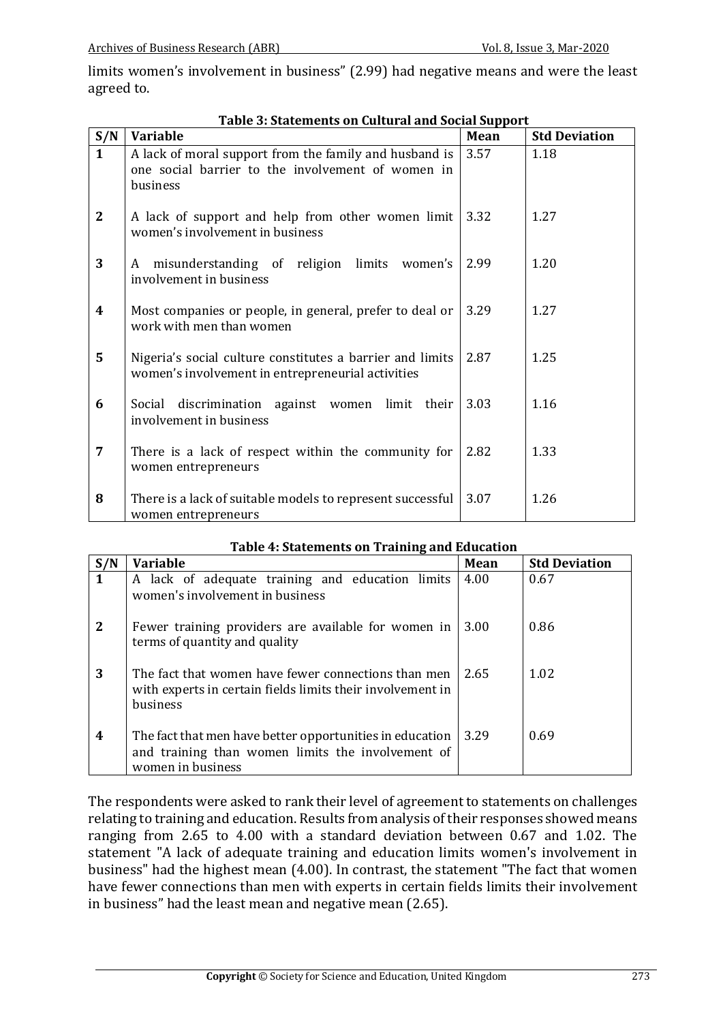limits women's involvement in business" (2.99) had negative means and were the least agreed to.

| S/N              | <b>Variable</b>                                                                                                         | Mean | <b>Std Deviation</b> |
|------------------|-------------------------------------------------------------------------------------------------------------------------|------|----------------------|
| $\mathbf{1}$     | A lack of moral support from the family and husband is<br>one social barrier to the involvement of women in<br>business | 3.57 | 1.18                 |
| $\mathbf{2}$     | A lack of support and help from other women limit<br>women's involvement in business                                    | 3.32 | 1.27                 |
| 3                | misunderstanding of religion limits women's<br>A<br>involvement in business                                             | 2.99 | 1.20                 |
| $\boldsymbol{4}$ | Most companies or people, in general, prefer to deal or<br>work with men than women                                     | 3.29 | 1.27                 |
| 5                | Nigeria's social culture constitutes a barrier and limits<br>women's involvement in entrepreneurial activities          | 2.87 | 1.25                 |
| 6                | Social discrimination against women limit their<br>involvement in business                                              | 3.03 | 1.16                 |
| $\overline{7}$   | There is a lack of respect within the community for<br>women entrepreneurs                                              | 2.82 | 1.33                 |
| 8                | There is a lack of suitable models to represent successful<br>women entrepreneurs                                       | 3.07 | 1.26                 |

| Table 3: Statements on Cultural and Social Support |
|----------------------------------------------------|
|----------------------------------------------------|

| S/N | <b>Variable</b>                                                                                                                      | Mean | <b>Std Deviation</b> |
|-----|--------------------------------------------------------------------------------------------------------------------------------------|------|----------------------|
|     | A lack of adequate training and education limits<br>women's involvement in business                                                  | 4.00 | 0.67                 |
| 2   | Fewer training providers are available for women in<br>terms of quantity and quality                                                 | 3.00 | 0.86                 |
| 3   | The fact that women have fewer connections than men<br>with experts in certain fields limits their involvement in<br>business        | 2.65 | 1.02                 |
| 4   | The fact that men have better opportunities in education  <br>and training than women limits the involvement of<br>women in business | 3.29 | 0.69                 |

#### **Table 4: Statements on Training and Education**

The respondents were asked to rank their level of agreement to statements on challenges relating to training and education. Results from analysis of their responses showed means ranging from 2.65 to 4.00 with a standard deviation between 0.67 and 1.02. The statement "A lack of adequate training and education limits women's involvement in business" had the highest mean (4.00). In contrast, the statement "The fact that women have fewer connections than men with experts in certain fields limits their involvement in business" had the least mean and negative mean  $(2.65)$ .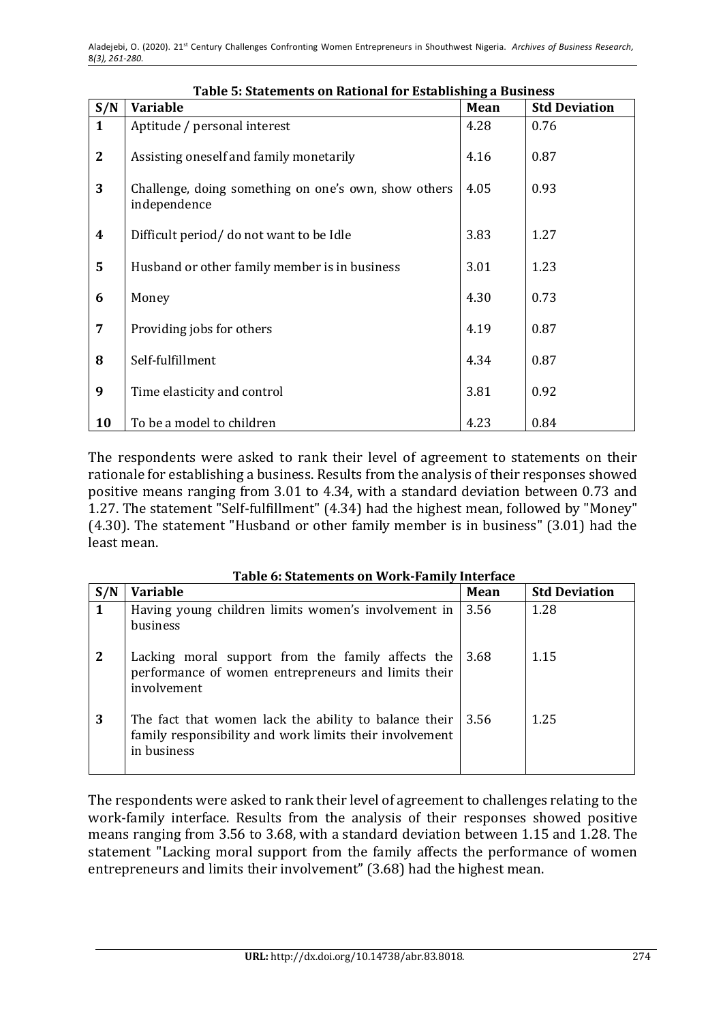| S/N              | гаріс э. эшістістіз он кайонагтог взійнізінің а визнісээ<br><b>Variable</b> | Mean | <b>Std Deviation</b> |
|------------------|-----------------------------------------------------------------------------|------|----------------------|
| $\mathbf{1}$     | Aptitude / personal interest                                                | 4.28 | 0.76                 |
| $\mathbf{2}$     | Assisting oneself and family monetarily                                     | 4.16 | 0.87                 |
| 3                | Challenge, doing something on one's own, show others<br>independence        | 4.05 | 0.93                 |
| $\boldsymbol{4}$ | Difficult period/ do not want to be Idle                                    | 3.83 | 1.27                 |
| 5                | Husband or other family member is in business                               | 3.01 | 1.23                 |
| 6                | Money                                                                       | 4.30 | 0.73                 |
| 7                | Providing jobs for others                                                   | 4.19 | 0.87                 |
| 8                | Self-fulfillment                                                            | 4.34 | 0.87                 |
| 9                | Time elasticity and control                                                 | 3.81 | 0.92                 |
| 10               | To be a model to children                                                   | 4.23 | 0.84                 |

**Table 5: Statements on Rational for Establishing a Business**

The respondents were asked to rank their level of agreement to statements on their rationale for establishing a business. Results from the analysis of their responses showed positive means ranging from 3.01 to 4.34, with a standard deviation between 0.73 and 1.27. The statement "Self-fulfillment" (4.34) had the highest mean, followed by "Money" (4.30). The statement "Husband or other family member is in business" (3.01) had the least mean.

|              | Table 6: Statements on Work-Family Interface                                                                                    |      |                      |  |  |
|--------------|---------------------------------------------------------------------------------------------------------------------------------|------|----------------------|--|--|
| S/N          | <b>Variable</b>                                                                                                                 | Mean | <b>Std Deviation</b> |  |  |
| $\mathbf 1$  | Having young children limits women's involvement in<br>business                                                                 | 3.56 | 1.28                 |  |  |
| $\mathbf{2}$ | Lacking moral support from the family affects the<br>performance of women entrepreneurs and limits their<br>involvement         | 3.68 | 1.15                 |  |  |
| 3            | The fact that women lack the ability to balance their<br>family responsibility and work limits their involvement<br>in business | 3.56 | 1.25                 |  |  |

The respondents were asked to rank their level of agreement to challenges relating to the work-family interface. Results from the analysis of their responses showed positive means ranging from 3.56 to 3.68, with a standard deviation between 1.15 and 1.28. The statement "Lacking moral support from the family affects the performance of women entrepreneurs and limits their involvement" (3.68) had the highest mean.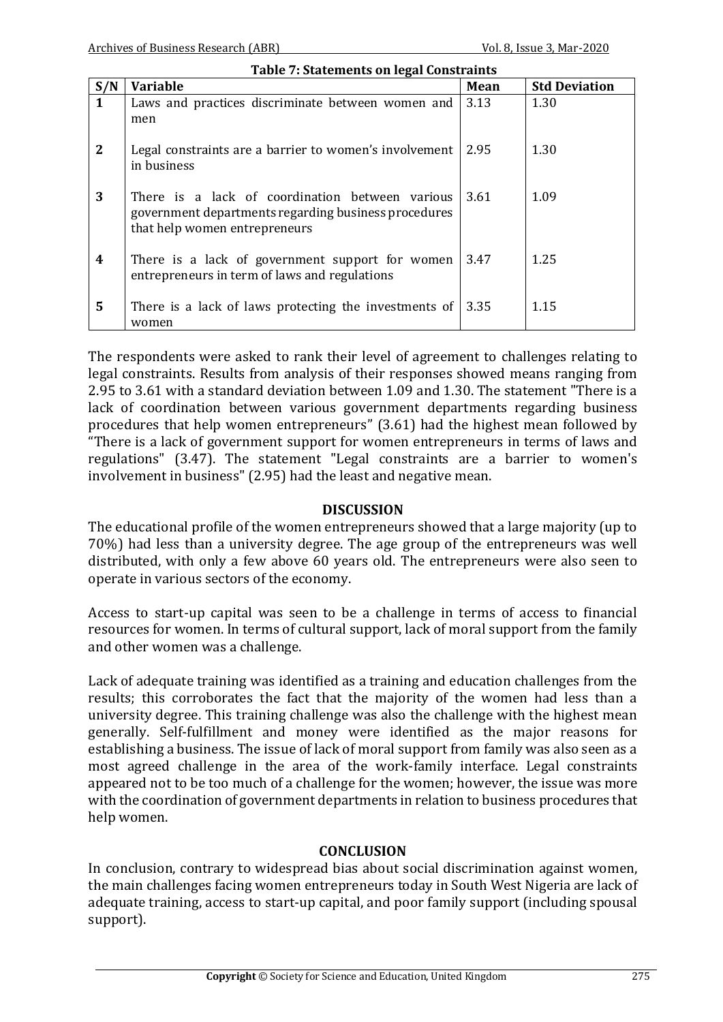| <b>Table 7: Statements on legal Constraints</b> |                                                                                                                                          |      |                      |  |  |
|-------------------------------------------------|------------------------------------------------------------------------------------------------------------------------------------------|------|----------------------|--|--|
| S/N                                             | <b>Variable</b>                                                                                                                          | Mean | <b>Std Deviation</b> |  |  |
| $\mathbf{1}$                                    | Laws and practices discriminate between women and<br>men                                                                                 | 3.13 | 1.30                 |  |  |
| $\mathbf{2}$                                    | Legal constraints are a barrier to women's involvement<br>in business                                                                    | 2.95 | 1.30                 |  |  |
| 3                                               | There is a lack of coordination between various<br>government departments regarding business procedures<br>that help women entrepreneurs | 3.61 | 1.09                 |  |  |
| 4                                               | There is a lack of government support for women<br>entrepreneurs in term of laws and regulations                                         | 3.47 | 1.25                 |  |  |
| 5                                               | There is a lack of laws protecting the investments of<br>women                                                                           | 3.35 | 1.15                 |  |  |

The respondents were asked to rank their level of agreement to challenges relating to legal constraints. Results from analysis of their responses showed means ranging from 2.95 to 3.61 with a standard deviation between 1.09 and 1.30. The statement "There is a lack of coordination between various government departments regarding business procedures that help women entrepreneurs" (3.61) had the highest mean followed by "There is a lack of government support for women entrepreneurs in terms of laws and regulations"  $(3.47)$ . The statement "Legal constraints are a barrier to women's involvement in business" (2.95) had the least and negative mean.

#### **DISCUSSION**

The educational profile of the women entrepreneurs showed that a large majority (up to 70%) had less than a university degree. The age group of the entrepreneurs was well distributed, with only a few above 60 years old. The entrepreneurs were also seen to operate in various sectors of the economy.

Access to start-up capital was seen to be a challenge in terms of access to financial resources for women. In terms of cultural support, lack of moral support from the family and other women was a challenge.

Lack of adequate training was identified as a training and education challenges from the results; this corroborates the fact that the majority of the women had less than a university degree. This training challenge was also the challenge with the highest mean generally. Self-fulfillment and money were identified as the major reasons for establishing a business. The issue of lack of moral support from family was also seen as a most agreed challenge in the area of the work-family interface. Legal constraints appeared not to be too much of a challenge for the women; however, the issue was more with the coordination of government departments in relation to business procedures that help women.

### **CONCLUSION**

In conclusion, contrary to widespread bias about social discrimination against women, the main challenges facing women entrepreneurs today in South West Nigeria are lack of adequate training, access to start-up capital, and poor family support (including spousal support).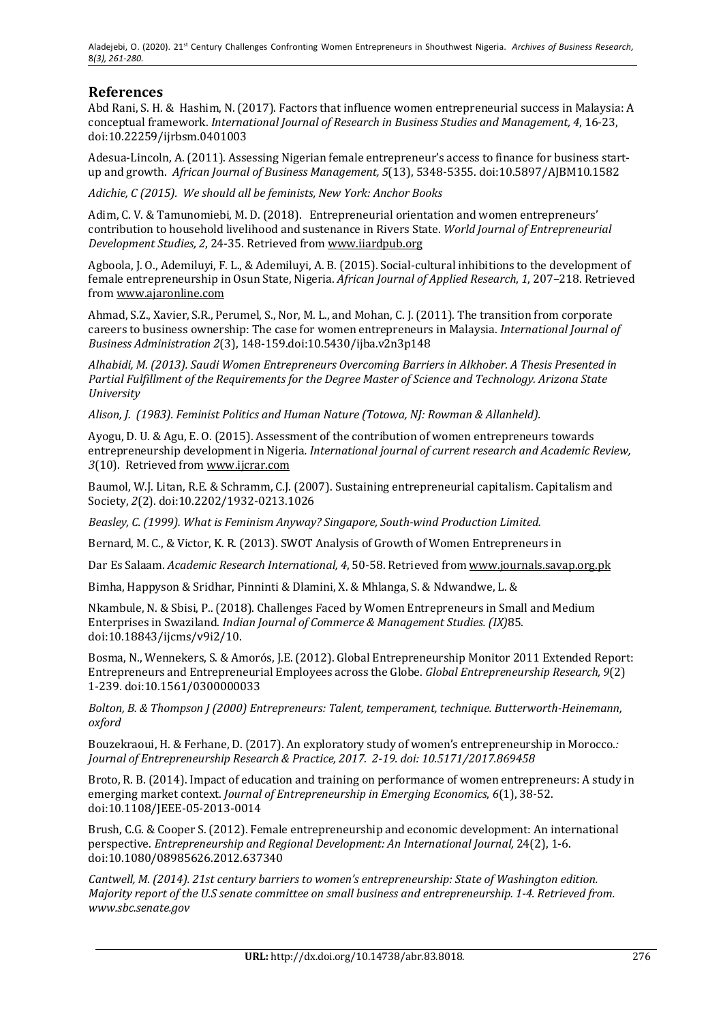## **References**

Abd Rani, S. H. & Hashim, N. (2017). Factors that influence women entrepreneurial success in Malaysia: A conceptual framework. *International Journal of Research in Business Studies and Management, 4, 16-23,* doi:10.22259/ijrbsm.0401003

Adesua-Lincoln, A. (2011). Assessing Nigerian female entrepreneur's access to finance for business startup and growth. African Journal of Business Management, 5(13), 5348-5355. doi:10.5897/AJBM10.1582

Adichie, C (2015). We should all be feminists, New York: Anchor Books

Adim, C. V. & Tamunomiebi, M. D. (2018). Entrepreneurial orientation and women entrepreneurs' contribution to household livelihood and sustenance in Rivers State. *World Journal of Entrepreneurial Development Studies, 2, 24-35. Retrieved from www.iiardpub.org* 

Agboola, J. O., Ademiluyi, F. L., & Ademiluyi, A. B. (2015). Social-cultural inhibitions to the development of female entrepreneurship in Osun State, Nigeria. *African Journal of Applied Research*, 1, 207–218. Retrieved from www.ajaronline.com

Ahmad, S.Z., Xavier, S.R., Perumel, S., Nor, M. L., and Mohan, C. J. (2011). The transition from corporate careers to business ownership: The case for women entrepreneurs in Malaysia. *International Journal of Business Administration 2*(3), 148-159.doi:10.5430/ijba.v2n3p148

Alhabidi, M. (2013). Saudi Women Entrepreneurs Overcoming Barriers in Alkhober. A Thesis Presented in Partial Fulfillment of the Requirements for the Degree Master of Science and Technology. Arizona State *University*

Alison, J. (1983). Feminist Politics and Human Nature (Totowa, NJ: Rowman & Allanheld).

Ayogu, D. U. & Agu, E. O. (2015). Assessment of the contribution of women entrepreneurs towards entrepreneurship development in Nigeria. *International journal of current research and Academic Review*, 3(10). Retrieved from www.ijcrar.com

Baumol, W.J. Litan, R.E. & Schramm, C.J. (2007). Sustaining entrepreneurial capitalism. Capitalism and Society, *2*(2). doi:10.2202/1932-0213.1026

*Beasley, C. (1999). What is Feminism Anyway? Singapore, South-wind Production Limited.* 

Bernard, M. C., & Victor, K. R. (2013). SWOT Analysis of Growth of Women Entrepreneurs in

Dar Es Salaam. *Academic Research International, 4,* 50-58. Retrieved from www.journals.savap.org.pk

Bimha, Happyson & Sridhar, Pinninti & Dlamini, X. & Mhlanga, S. & Ndwandwe, L. &

Nkambule, N. & Sbisi, P.. (2018). Challenges Faced by Women Entrepreneurs in Small and Medium Enterprises in Swaziland. *Indian Journal of Commerce & Management Studies.* (IX)85. doi:10.18843/ijcms/v9i2/10.

Bosma, N., Wennekers, S. & Amorós, J.E. (2012). Global Entrepreneurship Monitor 2011 Extended Report: Entrepreneurs and Entrepreneurial Employees across the Globe. *Global Entrepreneurship Research*, 9(2) 1-239. doi:10.1561/0300000033

*Bolton, B. & Thompson J (2000) Entrepreneurs: Talent, temperament, technique. Butterworth-Heinemann, oxford*

Bouzekraoui, H. & Ferhane, D. (2017). An exploratory study of women's entrepreneurship in Morocco.*: Journal of Entrepreneurship Research & Practice, 2017. 2-19. doi: 10.5171/2017.869458* 

Broto, R. B. (2014). Impact of education and training on performance of women entrepreneurs: A study in emerging market context. *Journal of Entrepreneurship in Emerging Economics*, 6(1), 38-52. doi:10.1108/JEEE-05-2013-0014

Brush, C.G. & Cooper S. (2012). Female entrepreneurship and economic development: An international perspective. *Entrepreneurship and Regional Development: An International Journal,* 24(2), 1-6. doi:10.1080/08985626.2012.637340

*Cantwell, M.* (2014). 21st century barriers to women's entrepreneurship: State of Washington edition. *Majority report of the U.S senate committee on small business and entrepreneurship.* 1-4. Retrieved from. *www.sbc.senate.gov*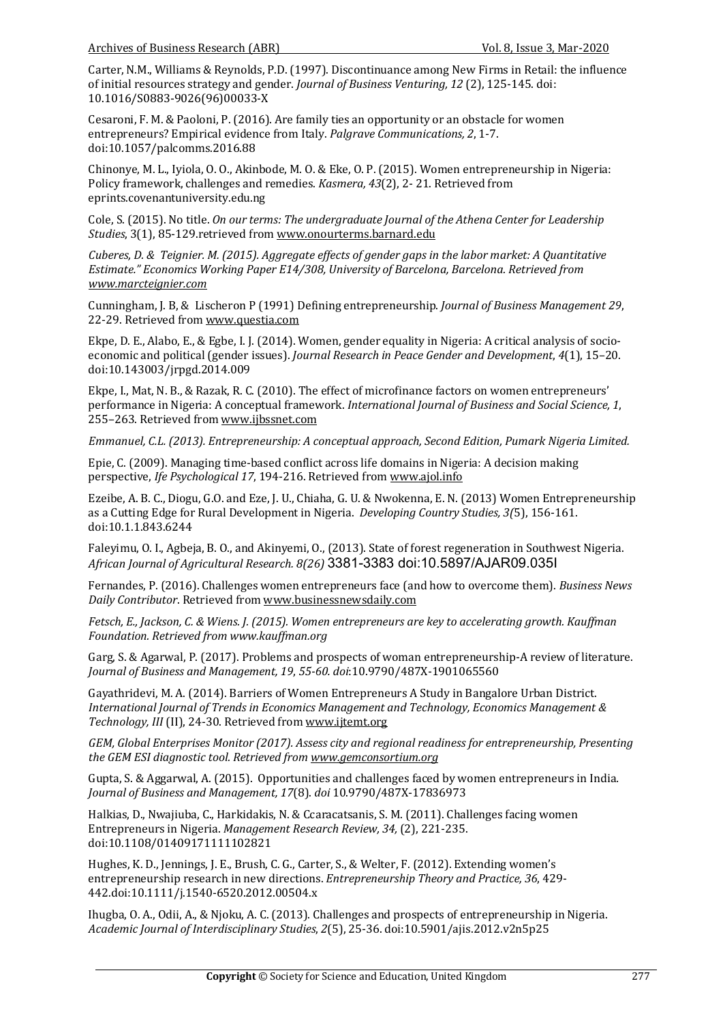Carter, N.M., Williams & Reynolds, P.D. (1997). Discontinuance among New Firms in Retail: the influence of initial resources strategy and gender. *Journal of Business Venturing, 12* (2), 125-145. doi: 10.1016/S0883-9026(96)00033-X

Cesaroni, F. M. & Paoloni, P. (2016). Are family ties an opportunity or an obstacle for women entrepreneurs? Empirical evidence from Italy. *Palgrave Communications*, 2, 1-7. doi:10.1057/palcomms.2016.88

Chinonye, M. L., Iyiola, O. O., Akinbode, M. O. & Eke, O. P. (2015). Women entrepreneurship in Nigeria: Policy framework, challenges and remedies. *Kasmera, 43*(2), 2-21. Retrieved from eprints.covenantuniversity.edu.ng

Cole, S. (2015). No title. On our terms: The undergraduate Journal of the Athena Center for Leadership Studies, 3(1), 85-129.retrieved from www.onourterms.barnard.edu

*Cuberes, D. & Teignier. M. (2015). Aggregate effects of gender gaps in the labor market: A Quantitative* Estimate." Economics Working Paper E14/308, University of Barcelona, Barcelona. Retrieved from *www.marcteignier.com*

Cunningham, J. B, & Lischeron P (1991) Defining entrepreneurship. *Journal of Business Management 29*, 22-29. Retrieved from www.questia.com

Ekpe, D. E., Alabo, E., & Egbe, I. J. (2014). Women, gender equality in Nigeria: A critical analysis of socioeconomic and political (gender issues). *Journal Research in Peace Gender and Development*,  $4(1)$ , 15–20. doi:10.143003/jrpgd.2014.009

Ekpe, I., Mat, N. B., & Razak, R. C. (2010). The effect of microfinance factors on women entrepreneurs' performance in Nigeria: A conceptual framework. *International Journal of Business and Social Science*, 1, 255–263. Retrieved from www.ijbssnet.com

*Emmanuel, C.L. (2013). Entrepreneurship: A conceptual approach, Second Edition, Pumark Nigeria Limited.* 

Epie, C. (2009). Managing time-based conflict across life domains in Nigeria: A decision making perspective, *Ife Psychological* 17, 194-216. Retrieved from www.ajol.info

Ezeibe, A. B. C., Diogu, G.O. and Eze, J. U., Chiaha, G. U. & Nwokenna, E. N. (2013) Women Entrepreneurship as a Cutting Edge for Rural Development in Nigeria. *Developing Country Studies, 3(5)*, 156-161. doi:10.1.1.843.6244

Faleyimu, O. I., Agbeja, B. O., and Akinyemi, O., (2013). State of forest regeneration in Southwest Nigeria. *African Journal of Agricultural Research. 8(26)* 3381-3383 doi:10.5897/AJAR09.035I

Fernandes, P. (2016). Challenges women entrepreneurs face (and how to overcome them). *Business News Daily Contributor*. Retrieved from www.businessnewsdaily.com

*Fetsch, E., Jackson, C. & Wiens. J. (2015). Women entrepreneurs are key to accelerating growth. Kauffman Foundation. Retrieved from www.kauffman.org* 

Garg, S. & Agarwal, P. (2017). Problems and prospects of woman entrepreneurship-A review of literature. *Journal of Business and Management, 19*, *55-60. doi*:10.9790/487X-1901065560

Gayathridevi, M. A. (2014). Barriers of Women Entrepreneurs A Study in Bangalore Urban District. *International Journal of Trends in Economics Management and Technology, Economics Management &* Technology, *III* (II), 24-30. Retrieved from www.ijtemt.org

*GEM, Global Enterprises Monitor (2017). Assess city and regional readiness for entrepreneurship, Presenting* the GEM ESI diagnostic tool. Retrieved from www.gemconsortium.org

Gupta, S. & Aggarwal, A. (2015). Opportunities and challenges faced by women entrepreneurs in India. *Journal of Business and Management, 17*(8). *doi* 10.9790/487X-17836973

Halkias, D., Nwajiuba, C., Harkidakis, N. & Ccaracatsanis, S. M. (2011). Challenges facing women Entrepreneurs in Nigeria. *Management Research Review, 34,* (2), 221-235. doi:10.1108/01409171111102821

Hughes, K. D., Jennings, J. E., Brush, C. G., Carter, S., & Welter, F. (2012). Extending women's entrepreneurship research in new directions. *Entrepreneurship Theory and Practice, 36, 429-*442.doi:10.1111/j.1540-6520.2012.00504.x

Ihugba, O. A., Odii, A., & Njoku, A. C. (2013). Challenges and prospects of entrepreneurship in Nigeria. *Academic Journal of Interdisciplinary Studies*, *2*(5), 25-36. doi:10.5901/ajis.2012.v2n5p25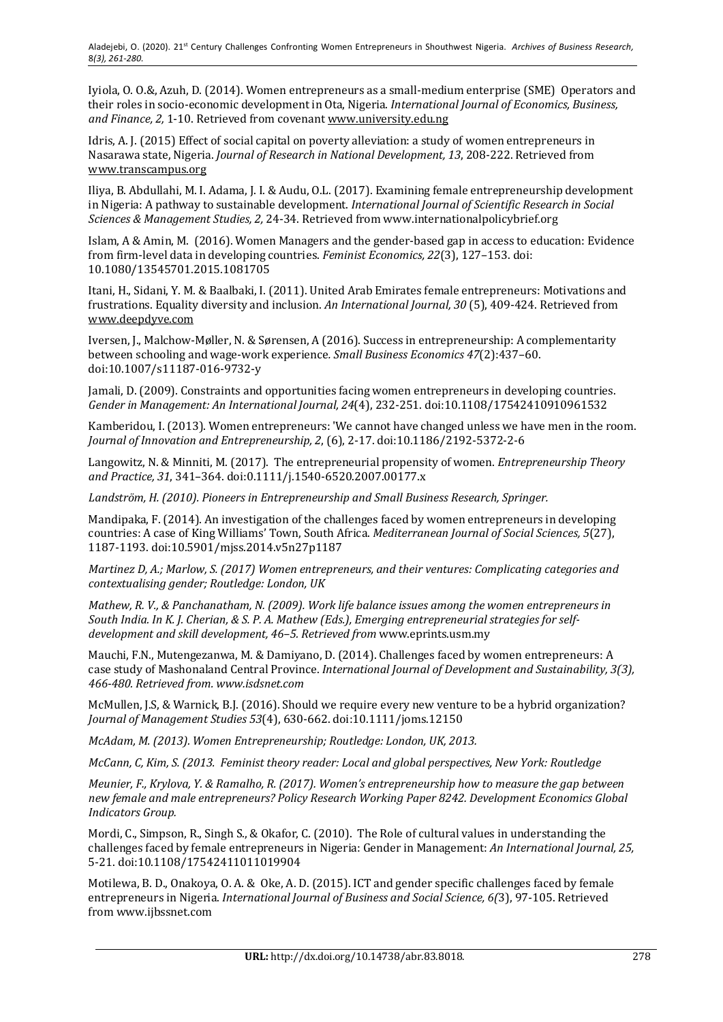Iyiola, O. O.&, Azuh, D. (2014). Women entrepreneurs as a small-medium enterprise (SME) Operators and their roles in socio-economic development in Ota, Nigeria. *International Journal of Economics, Business,* and Finance, 2, 1-10. Retrieved from covenant www.university.edu.ng

Idris, A. J. (2015) Effect of social capital on poverty alleviation: a study of women entrepreneurs in Nasarawa state, Nigeria. *Journal of Research in National Development, 13*, 208-222. Retrieved from www.transcampus.org

Iliya, B. Abdullahi, M. I. Adama, J. I. & Audu, O.L. (2017). Examining female entrepreneurship development in Nigeria: A pathway to sustainable development. *International Journal of Scientific Research in Social Sciences & Management Studies, 2,* 24-34. Retrieved from www.internationalpolicybrief.org

Islam, A & Amin, M. (2016). Women Managers and the gender-based gap in access to education: Evidence from firm-level data in developing countries. *Feminist Economics*, 22(3), 127-153. doi: 10.1080/13545701.2015.1081705

Itani, H., Sidani, Y. M. & Baalbaki, I. (2011). United Arab Emirates female entrepreneurs: Motivations and frustrations. Equality diversity and inclusion. An International Journal, 30 (5), 409-424. Retrieved from www.deepdyve.com

Iversen, J., Malchow-Møller, N. & Sørensen, A (2016). Success in entrepreneurship: A complementarity between schooling and wage-work experience*. Small Business Economics 47*(2):437–60. doi:10.1007/s11187-016-9732-y

Jamali, D. (2009). Constraints and opportunities facing women entrepreneurs in developing countries. Gender in Management: An International Journal, 24(4), 232-251. doi:10.1108/17542410910961532

Kamberidou, I. (2013). Women entrepreneurs: 'We cannot have changed unless we have men in the room. *Journal of Innovation and Entrepreneurship, 2, (6), 2-17. doi:10.1186/2192-5372-2-6* 

Langowitz, N. & Minniti, M. (2017). The entrepreneurial propensity of women. *Entrepreneurship Theory and Practice, 31*, 341–364. doi:0.1111/j.1540-6520.2007.00177.x

Landström, H. (2010). Pioneers in Entrepreneurship and Small Business Research, Springer.

Mandipaka, F. (2014). An investigation of the challenges faced by women entrepreneurs in developing countries: A case of King Williams' Town, South Africa. *Mediterranean Journal of Social Sciences, 5*(27), 1187-1193. doi:10.5901/mjss.2014.v5n27p1187

*Martinez D, A.; Marlow, S. (2017) Women entrepreneurs, and their ventures: Complicating categories and* contextualising gender; Routledge: London, UK

*Mathew, R. V., & Panchanatham, N. (2009). Work life balance issues among the women entrepreneurs in* South India. In K. J. Cherian, & S. P. A. Mathew (Eds.), Emerging entrepreneurial strategies for selfdevelopment and skill development, 46–5. Retrieved from www.eprints.usm.my

Mauchi, F.N., Mutengezanwa, M. & Damiyano, D. (2014). Challenges faced by women entrepreneurs: A case study of Mashonaland Central Province. *International Journal of Development and Sustainability, 3(3), 466-480. Retrieved from. www.isdsnet.com* 

McMullen, J.S, & Warnick, B.J. (2016). Should we require every new venture to be a hybrid organization? *Journal of Management Studies 53*(4), 630-662. doi:10.1111/joms.12150

*McAdam, M. (2013). Women Entrepreneurship; Routledge: London, UK, 2013.* 

*McCann, C, Kim, S. (2013. Feminist theory reader: Local and global perspectives, New York: Routledge* 

*Meunier, F., Krylova, Y. & Ramalho, R. (2017). Women's entrepreneurship how to measure the gap between* new female and male entrepreneurs? Policy Research Working Paper 8242. Development Economics Global *Indicators Group.* 

Mordi, C., Simpson, R., Singh S., & Okafor, C. (2010). The Role of cultural values in understanding the challenges faced by female entrepreneurs in Nigeria: Gender in Management: *An International Journal, 25,* 5-21. doi:10.1108/17542411011019904

Motilewa, B. D., Onakoya, O. A. & Oke, A. D. (2015). ICT and gender specific challenges faced by female entrepreneurs in Nigeria. *International Journal of Business and Social Science, 6(3), 97-105. Retrieved* from www.ijbssnet.com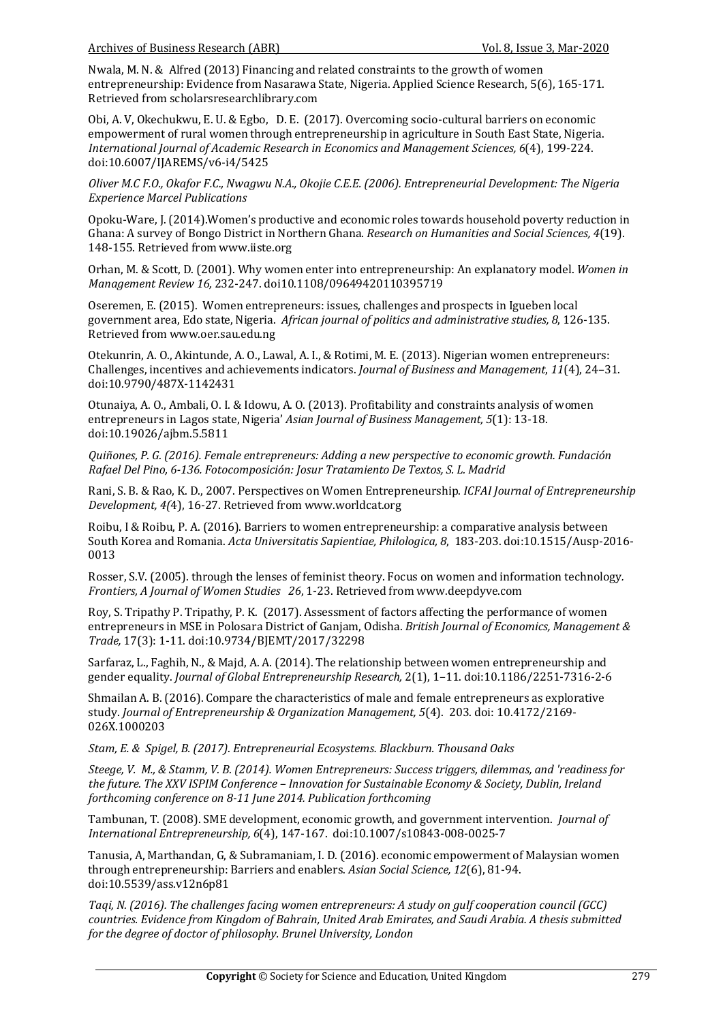Nwala, M. N. & Alfred (2013) Financing and related constraints to the growth of women entrepreneurship: Evidence from Nasarawa State, Nigeria. Applied Science Research, 5(6), 165-171. Retrieved from scholarsresearchlibrary.com

Obi, A. V, Okechukwu, E. U. & Egbo, D. E. (2017). Overcoming socio-cultural barriers on economic empowerment of rural women through entrepreneurship in agriculture in South East State, Nigeria. *International Journal of Academic Research in Economics and Management Sciences, 6(4), 199-224.* doi:10.6007/IJAREMS/v6-i4/5425

*Oliver M.C.F.O., Okafor F.C., Nwagwu N.A., Okojie C.E.E. (2006). Entrepreneurial Development: The Nigeria Experience Marcel Publications*

Opoku-Ware, J. (2014). Women's productive and economic roles towards household poverty reduction in Ghana: A survey of Bongo District in Northern Ghana. *Research on Humanities and Social Sciences, 4*(19). 148-155. Retrieved from www.iiste.org

Orhan, M. & Scott, D. (2001). Why women enter into entrepreneurship: An explanatory model. Women in *Management Review 16,* 232-247. doi10.1108/09649420110395719

Oseremen, E. (2015). Women entrepreneurs: issues, challenges and prospects in Igueben local government area, Edo state, Nigeria. African journal of politics and administrative studies, 8, 126-135. Retrieved from www.oer.sau.edu.ng

Otekunrin, A. O., Akintunde, A. O., Lawal, A. I., & Rotimi, M. E. (2013). Nigerian women entrepreneurs: Challenges, incentives and achievements indicators. *Journal of Business and Management*, 11(4), 24–31. doi:10.9790/487X-1142431

Otunaiya, A. O., Ambali, O. I. & Idowu, A. O. (2013). Profitability and constraints analysis of women entrepreneurs in Lagos state, Nigeria' *Asian Journal of Business Management,* 5(1): 13-18. doi:10.19026/ajbm.5.5811

*Quiñones, P. G. (2016). Female entrepreneurs: Adding a new perspective to economic growth. Fundación Rafael Del Pino, 6-136. Fotocomposición: Josur Tratamiento De Textos, S. L. Madrid* 

Rani, S. B. & Rao, K. D., 2007. Perspectives on Women Entrepreneurship. *ICFAI Journal of Entrepreneurship Development, 4(4), 16-27. Retrieved from www.worldcat.org* 

Roibu, I & Roibu, P. A. (2016). Barriers to women entrepreneurship: a comparative analysis between South Korea and Romania. *Acta Universitatis Sapientiae, Philologica, 8, 183-203. doi:10.1515/Ausp-2016-*0013

Rosser, S.V. (2005). through the lenses of feminist theory. Focus on women and information technology. *Frontiers, A Journal of Women Studies 26, 1-23. Retrieved from www.deepdyve.com* 

Roy, S. Tripathy P. Tripathy, P. K. (2017). Assessment of factors affecting the performance of women entrepreneurs in MSE in Polosara District of Ganjam, Odisha. *British Journal of Economics, Management & Trade,* 17(3): 1-11. doi:10.9734/BJEMT/2017/32298

Sarfaraz, L., Faghih, N., & Majd, A. A. (2014). The relationship between women entrepreneurship and gender equality. *Journal of Global Entrepreneurship Research*, 2(1), 1-11. doi:10.1186/2251-7316-2-6

Shmailan A. B. (2016). Compare the characteristics of male and female entrepreneurs as explorative study. *Journal of Entrepreneurship & Organization Management,* 5(4). 203. doi: 10.4172/2169-026X.1000203

Stam, E. & Spigel, B. (2017). Entrepreneurial Ecosystems. Blackburn. Thousand Oaks

*Steege, V. M., & Stamm, V. B. (2014). Women Entrepreneurs: Success triggers, dilemmas, and 'readiness for* the future. The XXV ISPIM Conference – Innovation for Sustainable Economy & Society, Dublin, Ireland *forthcoming conference on 8-11 June 2014. Publication forthcoming* 

Tambunan, T. (2008). SME development, economic growth, and government intervention. *Journal of International Entrepreneurship,* 6(4), 147-167. doi:10.1007/s10843-008-0025-7

Tanusia, A, Marthandan, G, & Subramaniam, I. D. (2016). economic empowerment of Malaysian women through entrepreneurship: Barriers and enablers. Asian Social Science, 12(6), 81-94. doi:10.5539/ass.v12n6p81

Taqi, N. (2016). The challenges facing women entrepreneurs: A study on gulf cooperation council (GCC) *countries. Evidence from Kingdom of Bahrain, United Arab Emirates, and Saudi Arabia. A thesis submitted for the degree of doctor of philosophy. Brunel University, London*